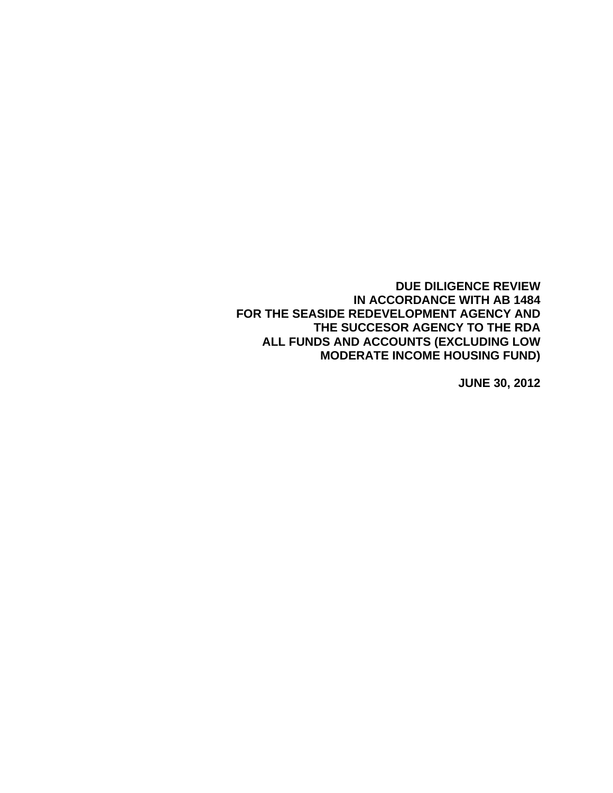**DUE DILIGENCE REVIEW IN ACCORDANCE WITH AB 1484 FOR THE SEASIDE REDEVELOPMENT AGENCY AND THE SUCCESOR AGENCY TO THE RDA ALL FUNDS AND ACCOUNTS (EXCLUDING LOW MODERATE INCOME HOUSING FUND)** 

**JUNE 30, 2012**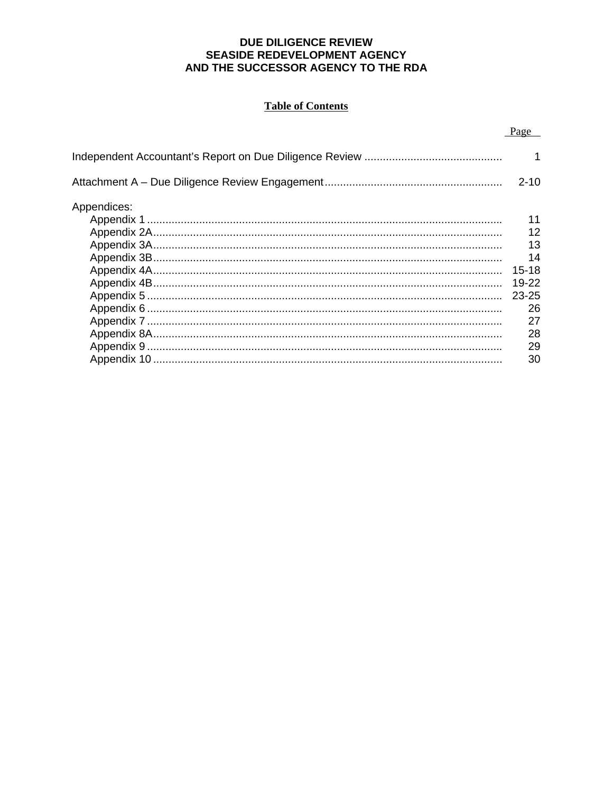## **DUE DILIGENCE REVIEW** SEASIDE REDEVELOPMENT AGENCY AND THE SUCCESSOR AGENCY TO THE RDA

# **Table of Contents**

|             | Page      |
|-------------|-----------|
|             | 1         |
|             | $2 - 10$  |
| Appendices: |           |
|             | 11        |
|             | 12        |
|             | 13        |
|             | 14        |
|             | $15 - 18$ |
|             | 19-22     |
|             | 23-25     |
|             | 26        |
|             | 27        |
|             | 28        |
|             | 29        |
|             | 30        |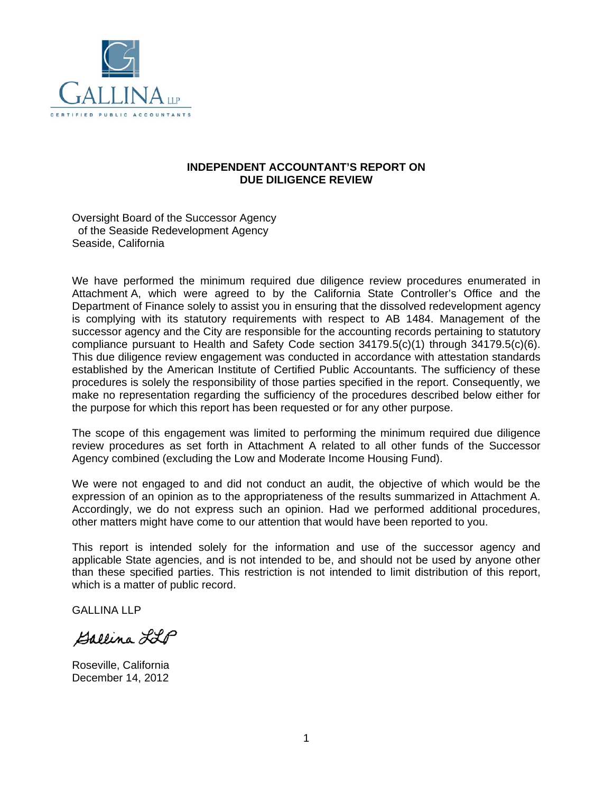

### **INDEPENDENT ACCOUNTANT'S REPORT ON DUE DILIGENCE REVIEW**

Oversight Board of the Successor Agency of the Seaside Redevelopment Agency Seaside, California

We have performed the minimum required due diligence review procedures enumerated in Attachment A, which were agreed to by the California State Controller's Office and the Department of Finance solely to assist you in ensuring that the dissolved redevelopment agency is complying with its statutory requirements with respect to AB 1484. Management of the successor agency and the City are responsible for the accounting records pertaining to statutory compliance pursuant to Health and Safety Code section 34179.5(c)(1) through 34179.5(c)(6). This due diligence review engagement was conducted in accordance with attestation standards established by the American Institute of Certified Public Accountants. The sufficiency of these procedures is solely the responsibility of those parties specified in the report. Consequently, we make no representation regarding the sufficiency of the procedures described below either for the purpose for which this report has been requested or for any other purpose.

The scope of this engagement was limited to performing the minimum required due diligence review procedures as set forth in Attachment A related to all other funds of the Successor Agency combined (excluding the Low and Moderate Income Housing Fund).

We were not engaged to and did not conduct an audit, the objective of which would be the expression of an opinion as to the appropriateness of the results summarized in Attachment A. Accordingly, we do not express such an opinion. Had we performed additional procedures, other matters might have come to our attention that would have been reported to you.

This report is intended solely for the information and use of the successor agency and applicable State agencies, and is not intended to be, and should not be used by anyone other than these specified parties. This restriction is not intended to limit distribution of this report, which is a matter of public record.

GALLINA LLP

Ballina LLP

Roseville, California December 14, 2012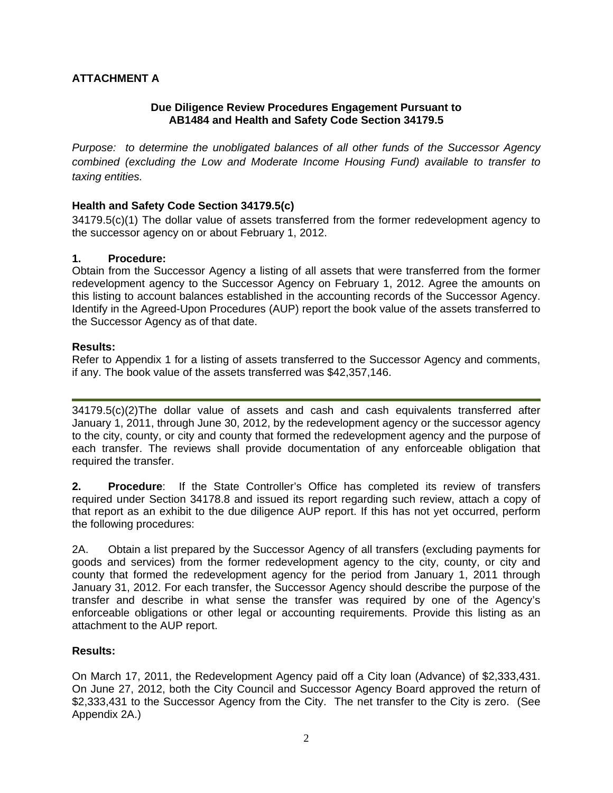# **ATTACHMENT A**

## **Due Diligence Review Procedures Engagement Pursuant to AB1484 and Health and Safety Code Section 34179.5**

*Purpose: to determine the unobligated balances of all other funds of the Successor Agency combined (excluding the Low and Moderate Income Housing Fund) available to transfer to taxing entities.* 

## **Health and Safety Code Section 34179.5(c)**

34179.5(c)(1) The dollar value of assets transferred from the former redevelopment agency to the successor agency on or about February 1, 2012.

## **1. Procedure:**

Obtain from the Successor Agency a listing of all assets that were transferred from the former redevelopment agency to the Successor Agency on February 1, 2012. Agree the amounts on this listing to account balances established in the accounting records of the Successor Agency. Identify in the Agreed-Upon Procedures (AUP) report the book value of the assets transferred to the Successor Agency as of that date.

#### **Results:**

Refer to Appendix 1 for a listing of assets transferred to the Successor Agency and comments, if any. The book value of the assets transferred was \$42,357,146.

34179.5(c)(2)The dollar value of assets and cash and cash equivalents transferred after January 1, 2011, through June 30, 2012, by the redevelopment agency or the successor agency to the city, county, or city and county that formed the redevelopment agency and the purpose of each transfer. The reviews shall provide documentation of any enforceable obligation that required the transfer.

**2. Procedure**: If the State Controller's Office has completed its review of transfers required under Section 34178.8 and issued its report regarding such review, attach a copy of that report as an exhibit to the due diligence AUP report. If this has not yet occurred, perform the following procedures:

2A. Obtain a list prepared by the Successor Agency of all transfers (excluding payments for goods and services) from the former redevelopment agency to the city, county, or city and county that formed the redevelopment agency for the period from January 1, 2011 through January 31, 2012. For each transfer, the Successor Agency should describe the purpose of the transfer and describe in what sense the transfer was required by one of the Agency's enforceable obligations or other legal or accounting requirements. Provide this listing as an attachment to the AUP report.

#### **Results:**

On March 17, 2011, the Redevelopment Agency paid off a City loan (Advance) of \$2,333,431. On June 27, 2012, both the City Council and Successor Agency Board approved the return of \$2,333,431 to the Successor Agency from the City. The net transfer to the City is zero. (See Appendix 2A.)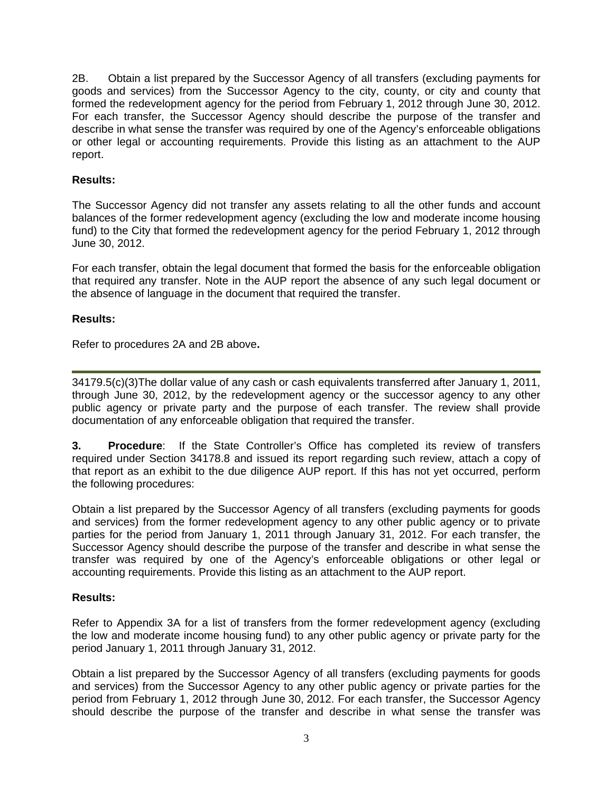2B. Obtain a list prepared by the Successor Agency of all transfers (excluding payments for goods and services) from the Successor Agency to the city, county, or city and county that formed the redevelopment agency for the period from February 1, 2012 through June 30, 2012. For each transfer, the Successor Agency should describe the purpose of the transfer and describe in what sense the transfer was required by one of the Agency's enforceable obligations or other legal or accounting requirements. Provide this listing as an attachment to the AUP report.

## **Results:**

The Successor Agency did not transfer any assets relating to all the other funds and account balances of the former redevelopment agency (excluding the low and moderate income housing fund) to the City that formed the redevelopment agency for the period February 1, 2012 through June 30, 2012.

For each transfer, obtain the legal document that formed the basis for the enforceable obligation that required any transfer. Note in the AUP report the absence of any such legal document or the absence of language in the document that required the transfer.

#### **Results:**

Refer to procedures 2A and 2B above**.** 

34179.5(c)(3)The dollar value of any cash or cash equivalents transferred after January 1, 2011, through June 30, 2012, by the redevelopment agency or the successor agency to any other public agency or private party and the purpose of each transfer. The review shall provide documentation of any enforceable obligation that required the transfer.

**3. Procedure**: If the State Controller's Office has completed its review of transfers required under Section 34178.8 and issued its report regarding such review, attach a copy of that report as an exhibit to the due diligence AUP report. If this has not yet occurred, perform the following procedures:

Obtain a list prepared by the Successor Agency of all transfers (excluding payments for goods and services) from the former redevelopment agency to any other public agency or to private parties for the period from January 1, 2011 through January 31, 2012. For each transfer, the Successor Agency should describe the purpose of the transfer and describe in what sense the transfer was required by one of the Agency's enforceable obligations or other legal or accounting requirements. Provide this listing as an attachment to the AUP report.

#### **Results:**

Refer to Appendix 3A for a list of transfers from the former redevelopment agency (excluding the low and moderate income housing fund) to any other public agency or private party for the period January 1, 2011 through January 31, 2012.

Obtain a list prepared by the Successor Agency of all transfers (excluding payments for goods and services) from the Successor Agency to any other public agency or private parties for the period from February 1, 2012 through June 30, 2012. For each transfer, the Successor Agency should describe the purpose of the transfer and describe in what sense the transfer was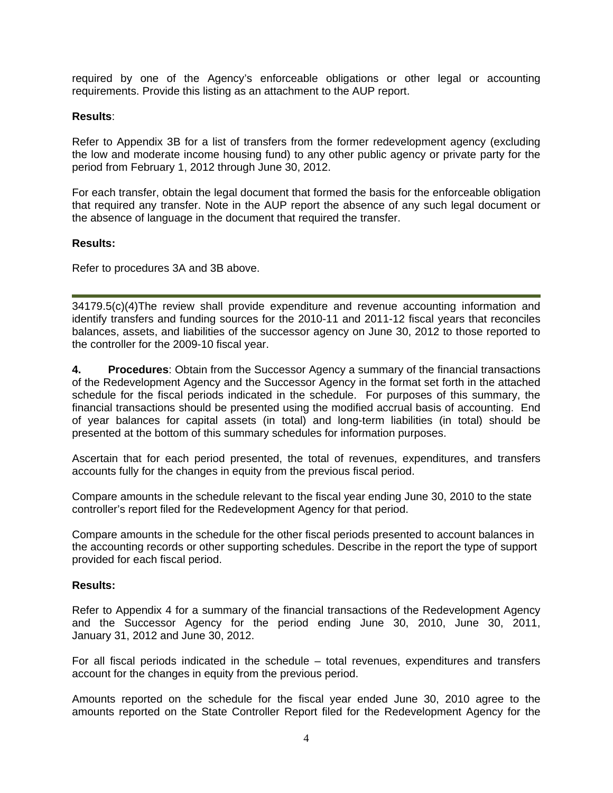required by one of the Agency's enforceable obligations or other legal or accounting requirements. Provide this listing as an attachment to the AUP report.

### **Results**:

Refer to Appendix 3B for a list of transfers from the former redevelopment agency (excluding the low and moderate income housing fund) to any other public agency or private party for the period from February 1, 2012 through June 30, 2012.

For each transfer, obtain the legal document that formed the basis for the enforceable obligation that required any transfer. Note in the AUP report the absence of any such legal document or the absence of language in the document that required the transfer.

#### **Results:**

Refer to procedures 3A and 3B above.

34179.5(c)(4)The review shall provide expenditure and revenue accounting information and identify transfers and funding sources for the 2010-11 and 2011-12 fiscal years that reconciles balances, assets, and liabilities of the successor agency on June 30, 2012 to those reported to the controller for the 2009-10 fiscal year.

**4. Procedures**: Obtain from the Successor Agency a summary of the financial transactions of the Redevelopment Agency and the Successor Agency in the format set forth in the attached schedule for the fiscal periods indicated in the schedule. For purposes of this summary, the financial transactions should be presented using the modified accrual basis of accounting. End of year balances for capital assets (in total) and long-term liabilities (in total) should be presented at the bottom of this summary schedules for information purposes.

Ascertain that for each period presented, the total of revenues, expenditures, and transfers accounts fully for the changes in equity from the previous fiscal period.

Compare amounts in the schedule relevant to the fiscal year ending June 30, 2010 to the state controller's report filed for the Redevelopment Agency for that period.

Compare amounts in the schedule for the other fiscal periods presented to account balances in the accounting records or other supporting schedules. Describe in the report the type of support provided for each fiscal period.

#### **Results:**

Refer to Appendix 4 for a summary of the financial transactions of the Redevelopment Agency and the Successor Agency for the period ending June 30, 2010, June 30, 2011, January 31, 2012 and June 30, 2012.

For all fiscal periods indicated in the schedule – total revenues, expenditures and transfers account for the changes in equity from the previous period.

Amounts reported on the schedule for the fiscal year ended June 30, 2010 agree to the amounts reported on the State Controller Report filed for the Redevelopment Agency for the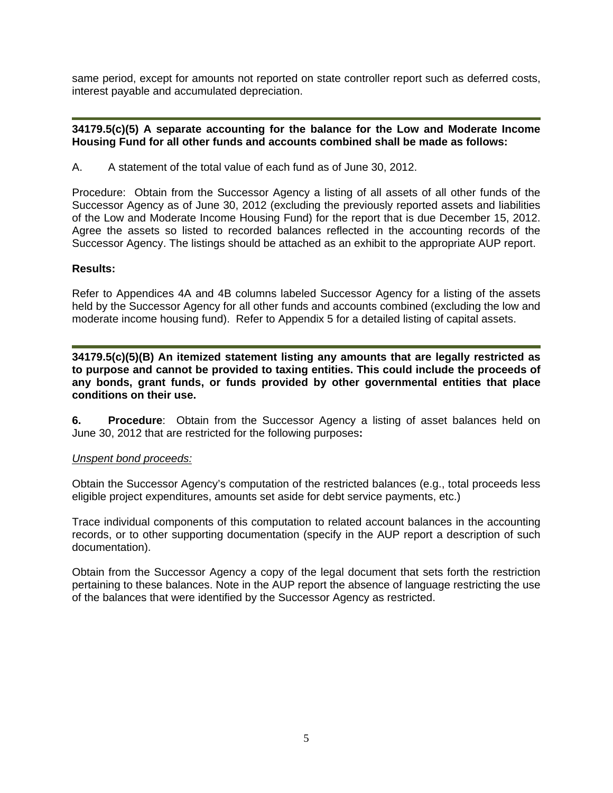same period, except for amounts not reported on state controller report such as deferred costs, interest payable and accumulated depreciation.

### **34179.5(c)(5) A separate accounting for the balance for the Low and Moderate Income Housing Fund for all other funds and accounts combined shall be made as follows:**

A. A statement of the total value of each fund as of June 30, 2012.

Procedure: Obtain from the Successor Agency a listing of all assets of all other funds of the Successor Agency as of June 30, 2012 (excluding the previously reported assets and liabilities of the Low and Moderate Income Housing Fund) for the report that is due December 15, 2012. Agree the assets so listed to recorded balances reflected in the accounting records of the Successor Agency. The listings should be attached as an exhibit to the appropriate AUP report.

## **Results:**

Refer to Appendices 4A and 4B columns labeled Successor Agency for a listing of the assets held by the Successor Agency for all other funds and accounts combined (excluding the low and moderate income housing fund). Refer to Appendix 5 for a detailed listing of capital assets.

**34179.5(c)(5)(B) An itemized statement listing any amounts that are legally restricted as to purpose and cannot be provided to taxing entities. This could include the proceeds of any bonds, grant funds, or funds provided by other governmental entities that place conditions on their use.** 

**6. Procedure**: Obtain from the Successor Agency a listing of asset balances held on June 30, 2012 that are restricted for the following purposes**:** 

#### *Unspent bond proceeds:*

Obtain the Successor Agency's computation of the restricted balances (e.g., total proceeds less eligible project expenditures, amounts set aside for debt service payments, etc.)

Trace individual components of this computation to related account balances in the accounting records, or to other supporting documentation (specify in the AUP report a description of such documentation).

Obtain from the Successor Agency a copy of the legal document that sets forth the restriction pertaining to these balances. Note in the AUP report the absence of language restricting the use of the balances that were identified by the Successor Agency as restricted.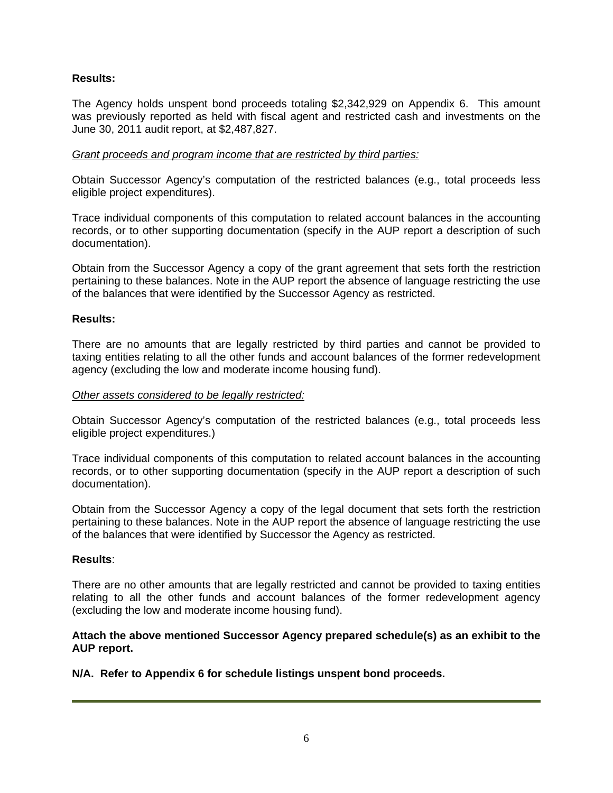## **Results:**

The Agency holds unspent bond proceeds totaling \$2,342,929 on Appendix 6. This amount was previously reported as held with fiscal agent and restricted cash and investments on the June 30, 2011 audit report, at \$2,487,827.

### *Grant proceeds and program income that are restricted by third parties:*

Obtain Successor Agency's computation of the restricted balances (e.g., total proceeds less eligible project expenditures).

Trace individual components of this computation to related account balances in the accounting records, or to other supporting documentation (specify in the AUP report a description of such documentation).

Obtain from the Successor Agency a copy of the grant agreement that sets forth the restriction pertaining to these balances. Note in the AUP report the absence of language restricting the use of the balances that were identified by the Successor Agency as restricted.

## **Results:**

There are no amounts that are legally restricted by third parties and cannot be provided to taxing entities relating to all the other funds and account balances of the former redevelopment agency (excluding the low and moderate income housing fund).

#### *Other assets considered to be legally restricted:*

Obtain Successor Agency's computation of the restricted balances (e.g., total proceeds less eligible project expenditures.)

Trace individual components of this computation to related account balances in the accounting records, or to other supporting documentation (specify in the AUP report a description of such documentation).

Obtain from the Successor Agency a copy of the legal document that sets forth the restriction pertaining to these balances. Note in the AUP report the absence of language restricting the use of the balances that were identified by Successor the Agency as restricted.

#### **Results**:

There are no other amounts that are legally restricted and cannot be provided to taxing entities relating to all the other funds and account balances of the former redevelopment agency (excluding the low and moderate income housing fund).

## **Attach the above mentioned Successor Agency prepared schedule(s) as an exhibit to the AUP report.**

**N/A. Refer to Appendix 6 for schedule listings unspent bond proceeds.**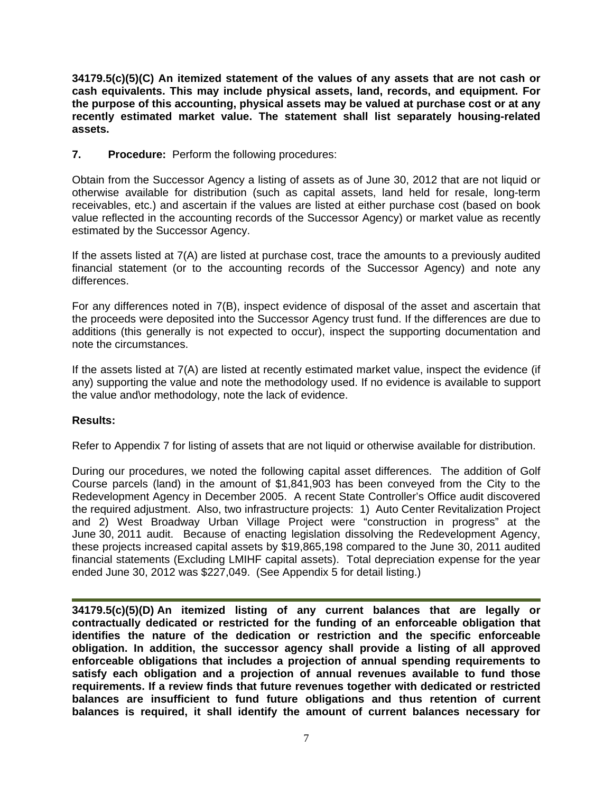**34179.5(c)(5)(C) An itemized statement of the values of any assets that are not cash or cash equivalents. This may include physical assets, land, records, and equipment. For the purpose of this accounting, physical assets may be valued at purchase cost or at any recently estimated market value. The statement shall list separately housing-related assets.** 

**7. Procedure:** Perform the following procedures:

Obtain from the Successor Agency a listing of assets as of June 30, 2012 that are not liquid or otherwise available for distribution (such as capital assets, land held for resale, long-term receivables, etc.) and ascertain if the values are listed at either purchase cost (based on book value reflected in the accounting records of the Successor Agency) or market value as recently estimated by the Successor Agency.

If the assets listed at 7(A) are listed at purchase cost, trace the amounts to a previously audited financial statement (or to the accounting records of the Successor Agency) and note any differences.

For any differences noted in 7(B), inspect evidence of disposal of the asset and ascertain that the proceeds were deposited into the Successor Agency trust fund. If the differences are due to additions (this generally is not expected to occur), inspect the supporting documentation and note the circumstances.

If the assets listed at 7(A) are listed at recently estimated market value, inspect the evidence (if any) supporting the value and note the methodology used. If no evidence is available to support the value and\or methodology, note the lack of evidence.

## **Results:**

Refer to Appendix 7 for listing of assets that are not liquid or otherwise available for distribution.

During our procedures, we noted the following capital asset differences. The addition of Golf Course parcels (land) in the amount of \$1,841,903 has been conveyed from the City to the Redevelopment Agency in December 2005. A recent State Controller's Office audit discovered the required adjustment. Also, two infrastructure projects: 1) Auto Center Revitalization Project and 2) West Broadway Urban Village Project were "construction in progress" at the June 30, 2011 audit. Because of enacting legislation dissolving the Redevelopment Agency, these projects increased capital assets by \$19,865,198 compared to the June 30, 2011 audited financial statements (Excluding LMIHF capital assets). Total depreciation expense for the year ended June 30, 2012 was \$227,049. (See Appendix 5 for detail listing.)

**34179.5(c)(5)(D) An itemized listing of any current balances that are legally or contractually dedicated or restricted for the funding of an enforceable obligation that identifies the nature of the dedication or restriction and the specific enforceable obligation. In addition, the successor agency shall provide a listing of all approved enforceable obligations that includes a projection of annual spending requirements to satisfy each obligation and a projection of annual revenues available to fund those requirements. If a review finds that future revenues together with dedicated or restricted balances are insufficient to fund future obligations and thus retention of current balances is required, it shall identify the amount of current balances necessary for**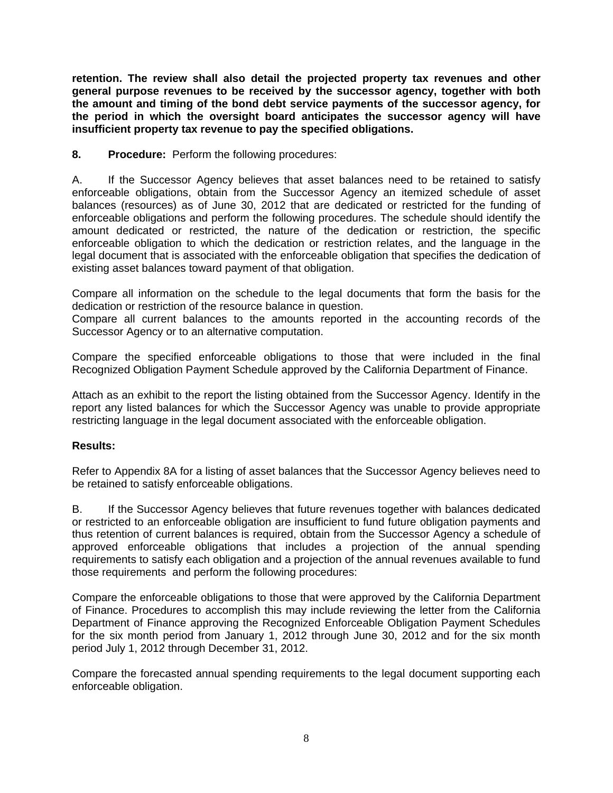**retention. The review shall also detail the projected property tax revenues and other general purpose revenues to be received by the successor agency, together with both the amount and timing of the bond debt service payments of the successor agency, for the period in which the oversight board anticipates the successor agency will have insufficient property tax revenue to pay the specified obligations.** 

**8. Procedure:** Perform the following procedures:

A. If the Successor Agency believes that asset balances need to be retained to satisfy enforceable obligations, obtain from the Successor Agency an itemized schedule of asset balances (resources) as of June 30, 2012 that are dedicated or restricted for the funding of enforceable obligations and perform the following procedures. The schedule should identify the amount dedicated or restricted, the nature of the dedication or restriction, the specific enforceable obligation to which the dedication or restriction relates, and the language in the legal document that is associated with the enforceable obligation that specifies the dedication of existing asset balances toward payment of that obligation.

Compare all information on the schedule to the legal documents that form the basis for the dedication or restriction of the resource balance in question.

Compare all current balances to the amounts reported in the accounting records of the Successor Agency or to an alternative computation.

Compare the specified enforceable obligations to those that were included in the final Recognized Obligation Payment Schedule approved by the California Department of Finance.

Attach as an exhibit to the report the listing obtained from the Successor Agency. Identify in the report any listed balances for which the Successor Agency was unable to provide appropriate restricting language in the legal document associated with the enforceable obligation.

## **Results:**

Refer to Appendix 8A for a listing of asset balances that the Successor Agency believes need to be retained to satisfy enforceable obligations.

B. If the Successor Agency believes that future revenues together with balances dedicated or restricted to an enforceable obligation are insufficient to fund future obligation payments and thus retention of current balances is required, obtain from the Successor Agency a schedule of approved enforceable obligations that includes a projection of the annual spending requirements to satisfy each obligation and a projection of the annual revenues available to fund those requirements and perform the following procedures:

Compare the enforceable obligations to those that were approved by the California Department of Finance. Procedures to accomplish this may include reviewing the letter from the California Department of Finance approving the Recognized Enforceable Obligation Payment Schedules for the six month period from January 1, 2012 through June 30, 2012 and for the six month period July 1, 2012 through December 31, 2012.

Compare the forecasted annual spending requirements to the legal document supporting each enforceable obligation.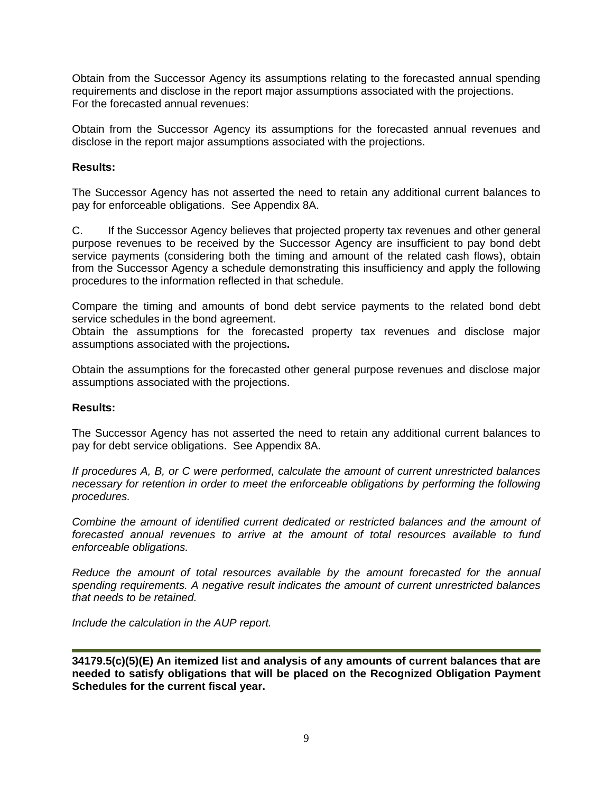Obtain from the Successor Agency its assumptions relating to the forecasted annual spending requirements and disclose in the report major assumptions associated with the projections. For the forecasted annual revenues:

Obtain from the Successor Agency its assumptions for the forecasted annual revenues and disclose in the report major assumptions associated with the projections.

## **Results:**

The Successor Agency has not asserted the need to retain any additional current balances to pay for enforceable obligations. See Appendix 8A.

C. If the Successor Agency believes that projected property tax revenues and other general purpose revenues to be received by the Successor Agency are insufficient to pay bond debt service payments (considering both the timing and amount of the related cash flows), obtain from the Successor Agency a schedule demonstrating this insufficiency and apply the following procedures to the information reflected in that schedule.

Compare the timing and amounts of bond debt service payments to the related bond debt service schedules in the bond agreement.

Obtain the assumptions for the forecasted property tax revenues and disclose major assumptions associated with the projections**.** 

Obtain the assumptions for the forecasted other general purpose revenues and disclose major assumptions associated with the projections.

#### **Results:**

The Successor Agency has not asserted the need to retain any additional current balances to pay for debt service obligations. See Appendix 8A.

*If procedures A, B, or C were performed, calculate the amount of current unrestricted balances necessary for retention in order to meet the enforceable obligations by performing the following procedures.* 

*Combine the amount of identified current dedicated or restricted balances and the amount of forecasted annual revenues to arrive at the amount of total resources available to fund enforceable obligations.* 

*Reduce the amount of total resources available by the amount forecasted for the annual spending requirements. A negative result indicates the amount of current unrestricted balances that needs to be retained.* 

*Include the calculation in the AUP report.* 

**34179.5(c)(5)(E) An itemized list and analysis of any amounts of current balances that are needed to satisfy obligations that will be placed on the Recognized Obligation Payment Schedules for the current fiscal year.**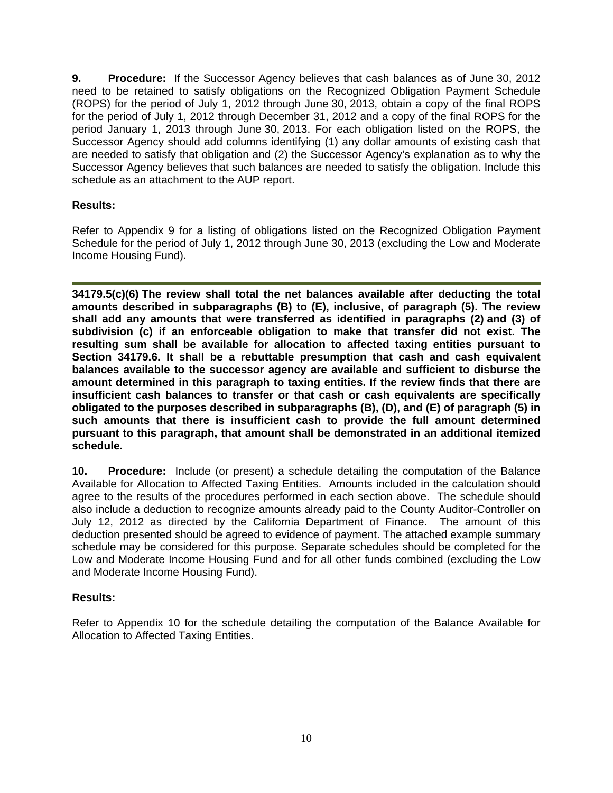**9. Procedure:** If the Successor Agency believes that cash balances as of June 30, 2012 need to be retained to satisfy obligations on the Recognized Obligation Payment Schedule (ROPS) for the period of July 1, 2012 through June 30, 2013, obtain a copy of the final ROPS for the period of July 1, 2012 through December 31, 2012 and a copy of the final ROPS for the period January 1, 2013 through June 30, 2013. For each obligation listed on the ROPS, the Successor Agency should add columns identifying (1) any dollar amounts of existing cash that are needed to satisfy that obligation and (2) the Successor Agency's explanation as to why the Successor Agency believes that such balances are needed to satisfy the obligation. Include this schedule as an attachment to the AUP report.

# **Results:**

Refer to Appendix 9 for a listing of obligations listed on the Recognized Obligation Payment Schedule for the period of July 1, 2012 through June 30, 2013 (excluding the Low and Moderate Income Housing Fund).

**34179.5(c)(6) The review shall total the net balances available after deducting the total amounts described in subparagraphs (B) to (E), inclusive, of paragraph (5). The review shall add any amounts that were transferred as identified in paragraphs (2) and (3) of subdivision (c) if an enforceable obligation to make that transfer did not exist. The resulting sum shall be available for allocation to affected taxing entities pursuant to Section 34179.6. It shall be a rebuttable presumption that cash and cash equivalent balances available to the successor agency are available and sufficient to disburse the amount determined in this paragraph to taxing entities. If the review finds that there are insufficient cash balances to transfer or that cash or cash equivalents are specifically obligated to the purposes described in subparagraphs (B), (D), and (E) of paragraph (5) in such amounts that there is insufficient cash to provide the full amount determined pursuant to this paragraph, that amount shall be demonstrated in an additional itemized schedule.** 

**10. Procedure:** Include (or present) a schedule detailing the computation of the Balance Available for Allocation to Affected Taxing Entities. Amounts included in the calculation should agree to the results of the procedures performed in each section above. The schedule should also include a deduction to recognize amounts already paid to the County Auditor-Controller on July 12, 2012 as directed by the California Department of Finance. The amount of this deduction presented should be agreed to evidence of payment. The attached example summary schedule may be considered for this purpose. Separate schedules should be completed for the Low and Moderate Income Housing Fund and for all other funds combined (excluding the Low and Moderate Income Housing Fund).

## **Results:**

Refer to Appendix 10 for the schedule detailing the computation of the Balance Available for Allocation to Affected Taxing Entities.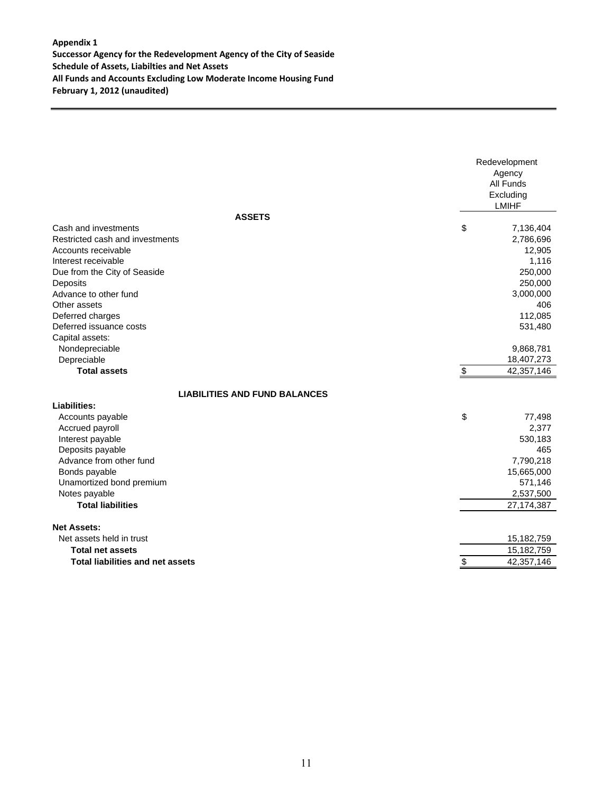#### **Appendix 1 Successor Agency for the Redevelopment Agency of the City of Seaside Schedule of Assets, Liabilties and Net Assets All Funds and Accounts Excluding Low Moderate Income Housing Fund February 1, 2012 (unaudited)**

| \$<br>Cash and investments<br>Restricted cash and investments<br>2,786,696<br>Accounts receivable<br>Interest receivable<br>Due from the City of Seaside<br>250,000<br>250,000<br>Deposits<br>Advance to other fund<br>3,000,000<br>Other assets<br>112,085<br>Deferred charges<br>Deferred issuance costs<br>531,480<br>Capital assets:<br>Nondepreciable<br>9,868,781<br>Depreciable<br>18,407,273<br>$\frac{1}{2}$<br><b>Total assets</b><br>42,357,146<br><b>LIABILITIES AND FUND BALANCES</b><br>Liabilities:<br>\$<br>Accounts payable<br>Accrued payroll<br>Interest payable<br>Deposits payable<br>Advance from other fund |               | Redevelopment<br>Agency<br>All Funds<br>Excluding<br><b>LMIHF</b> |
|------------------------------------------------------------------------------------------------------------------------------------------------------------------------------------------------------------------------------------------------------------------------------------------------------------------------------------------------------------------------------------------------------------------------------------------------------------------------------------------------------------------------------------------------------------------------------------------------------------------------------------|---------------|-------------------------------------------------------------------|
|                                                                                                                                                                                                                                                                                                                                                                                                                                                                                                                                                                                                                                    | <b>ASSETS</b> |                                                                   |
|                                                                                                                                                                                                                                                                                                                                                                                                                                                                                                                                                                                                                                    |               | 7,136,404                                                         |
|                                                                                                                                                                                                                                                                                                                                                                                                                                                                                                                                                                                                                                    |               |                                                                   |
|                                                                                                                                                                                                                                                                                                                                                                                                                                                                                                                                                                                                                                    |               | 12,905                                                            |
|                                                                                                                                                                                                                                                                                                                                                                                                                                                                                                                                                                                                                                    |               | 1,116                                                             |
|                                                                                                                                                                                                                                                                                                                                                                                                                                                                                                                                                                                                                                    |               |                                                                   |
|                                                                                                                                                                                                                                                                                                                                                                                                                                                                                                                                                                                                                                    |               |                                                                   |
|                                                                                                                                                                                                                                                                                                                                                                                                                                                                                                                                                                                                                                    |               |                                                                   |
|                                                                                                                                                                                                                                                                                                                                                                                                                                                                                                                                                                                                                                    |               | 406                                                               |
|                                                                                                                                                                                                                                                                                                                                                                                                                                                                                                                                                                                                                                    |               |                                                                   |
|                                                                                                                                                                                                                                                                                                                                                                                                                                                                                                                                                                                                                                    |               |                                                                   |
|                                                                                                                                                                                                                                                                                                                                                                                                                                                                                                                                                                                                                                    |               |                                                                   |
|                                                                                                                                                                                                                                                                                                                                                                                                                                                                                                                                                                                                                                    |               |                                                                   |
|                                                                                                                                                                                                                                                                                                                                                                                                                                                                                                                                                                                                                                    |               |                                                                   |
|                                                                                                                                                                                                                                                                                                                                                                                                                                                                                                                                                                                                                                    |               |                                                                   |
|                                                                                                                                                                                                                                                                                                                                                                                                                                                                                                                                                                                                                                    |               |                                                                   |
|                                                                                                                                                                                                                                                                                                                                                                                                                                                                                                                                                                                                                                    |               |                                                                   |
|                                                                                                                                                                                                                                                                                                                                                                                                                                                                                                                                                                                                                                    |               | 77,498                                                            |
|                                                                                                                                                                                                                                                                                                                                                                                                                                                                                                                                                                                                                                    |               | 2,377                                                             |
|                                                                                                                                                                                                                                                                                                                                                                                                                                                                                                                                                                                                                                    |               | 530,183                                                           |
|                                                                                                                                                                                                                                                                                                                                                                                                                                                                                                                                                                                                                                    |               | 465                                                               |
|                                                                                                                                                                                                                                                                                                                                                                                                                                                                                                                                                                                                                                    |               | 7,790,218                                                         |
| Bonds payable                                                                                                                                                                                                                                                                                                                                                                                                                                                                                                                                                                                                                      |               | 15,665,000                                                        |
| Unamortized bond premium                                                                                                                                                                                                                                                                                                                                                                                                                                                                                                                                                                                                           |               | 571,146                                                           |
| Notes payable                                                                                                                                                                                                                                                                                                                                                                                                                                                                                                                                                                                                                      |               | 2,537,500                                                         |
| <b>Total liabilities</b>                                                                                                                                                                                                                                                                                                                                                                                                                                                                                                                                                                                                           |               | 27, 174, 387                                                      |
| <b>Net Assets:</b>                                                                                                                                                                                                                                                                                                                                                                                                                                                                                                                                                                                                                 |               |                                                                   |
| Net assets held in trust                                                                                                                                                                                                                                                                                                                                                                                                                                                                                                                                                                                                           |               | 15,182,759                                                        |
| <b>Total net assets</b>                                                                                                                                                                                                                                                                                                                                                                                                                                                                                                                                                                                                            |               | 15,182,759                                                        |
| \$<br><b>Total liabilities and net assets</b>                                                                                                                                                                                                                                                                                                                                                                                                                                                                                                                                                                                      |               | 42,357,146                                                        |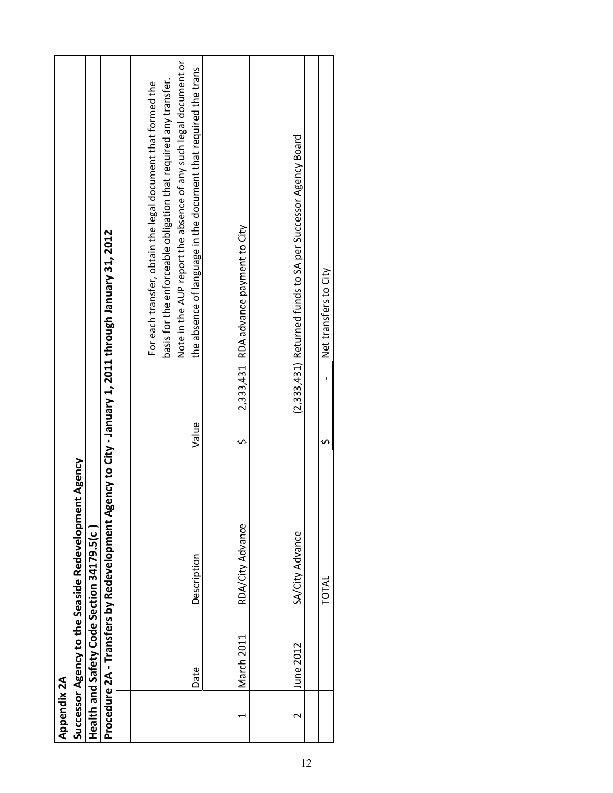|        |            | nt Agency<br>Successor Agency to the Seaside Redevelopme                                            |                |                                                                                                                                                                                                                                                                         |
|--------|------------|-----------------------------------------------------------------------------------------------------|----------------|-------------------------------------------------------------------------------------------------------------------------------------------------------------------------------------------------------------------------------------------------------------------------|
|        |            | Health and Safety Code Section 34179.5(c                                                            |                |                                                                                                                                                                                                                                                                         |
|        |            | Procedure 2A - Transfers by Redevelopment Agency to City - January 1, 2011 through January 31, 2012 |                |                                                                                                                                                                                                                                                                         |
|        |            |                                                                                                     |                |                                                                                                                                                                                                                                                                         |
| Date   |            | Description                                                                                         | Value          | Note in the AUP report the absence of any such legal document or<br>the absence of language in the document that required the trans<br>basis for the enforceable obligation that required any transfer.<br>For each transfer, obtain the legal document that formed the |
|        | March 2011 | RDA/City Advance                                                                                    | 2,333,431<br>S | RDA advance payment to City                                                                                                                                                                                                                                             |
| $\sim$ | June 2012  | SA/City Advance                                                                                     |                | (2,333,431) Returned funds to SA per Successor Agency Board                                                                                                                                                                                                             |
|        |            | TOTAL                                                                                               | S              | Net transfers to City                                                                                                                                                                                                                                                   |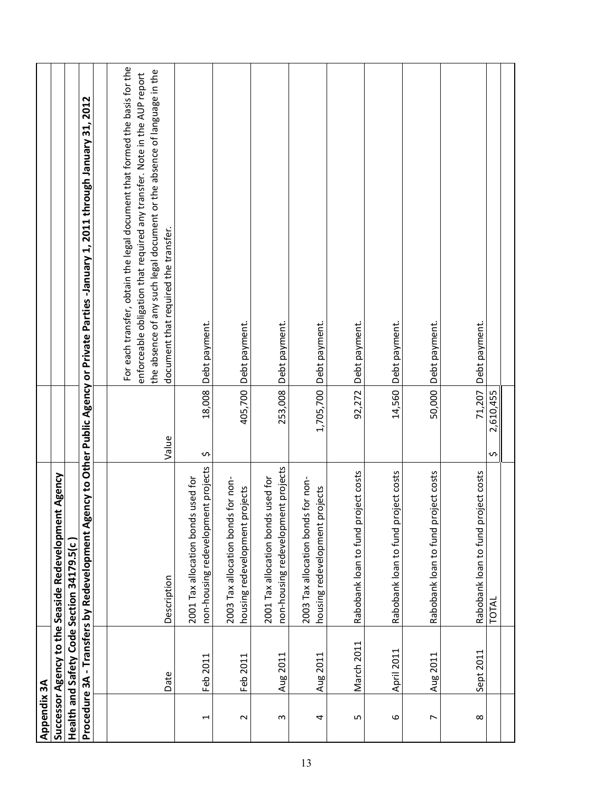| Appendix 3A    |            |                                                                          |                 |                                                                                                                                                                                                                                                                             |
|----------------|------------|--------------------------------------------------------------------------|-----------------|-----------------------------------------------------------------------------------------------------------------------------------------------------------------------------------------------------------------------------------------------------------------------------|
|                |            | Successor Agency to the Seaside Redevelopment Agency                     |                 |                                                                                                                                                                                                                                                                             |
|                |            | Health and Safety Code Section 34179.5(c                                 |                 |                                                                                                                                                                                                                                                                             |
|                |            |                                                                          |                 | Procedure 3A - Transfers by Redevelopment Agency to Other Public Agency or Private Parties -January 1, 2011 through January 31, 2012                                                                                                                                        |
|                |            |                                                                          |                 |                                                                                                                                                                                                                                                                             |
|                | Date       | Description                                                              | Value           | For each transfer, obtain the legal document that formed the basis for the<br>the absence of any such legal document or the absence of language in the<br>enforceable obligation that required any transfer. Note in the AUP report<br>document that required the transfer. |
| H              | Feb 2011   | non-housing redevelopment projects<br>2001 Tax allocation bonds used for | 18,008<br>s     | Debt payment.                                                                                                                                                                                                                                                               |
| Z              | Feb 2011   | 2003 Tax allocation bonds for non-<br>housing redevelopment projects     | 405,700         | Debt payment.                                                                                                                                                                                                                                                               |
| S              | Aug 2011   | non-housing redevelopment projects<br>2001 Tax allocation bonds used for | 253,008         | Debt payment.                                                                                                                                                                                                                                                               |
| 4              | Aug 2011   | 2003 Tax allocation bonds for non-<br>housing redevelopment projects     | 1,705,700       | Debt payment.                                                                                                                                                                                                                                                               |
| S              | March 2011 | Rabobank loan to fund project costs                                      | 92,272          | Debt payment.                                                                                                                                                                                                                                                               |
| 6              | April 2011 | Rabobank loan to fund project costs                                      | 14,560          | Debt payment.                                                                                                                                                                                                                                                               |
| $\overline{ }$ | Aug 2011   | Rabobank loan to fund project costs                                      | 50,000          | Debt payment.                                                                                                                                                                                                                                                               |
| $\infty$       | Sept 2011  | Rabobank loan to fund project costs                                      | 71,207          | Debt payment.                                                                                                                                                                                                                                                               |
|                |            | TOTAL                                                                    | 2,610,455<br>᠊ᠬ |                                                                                                                                                                                                                                                                             |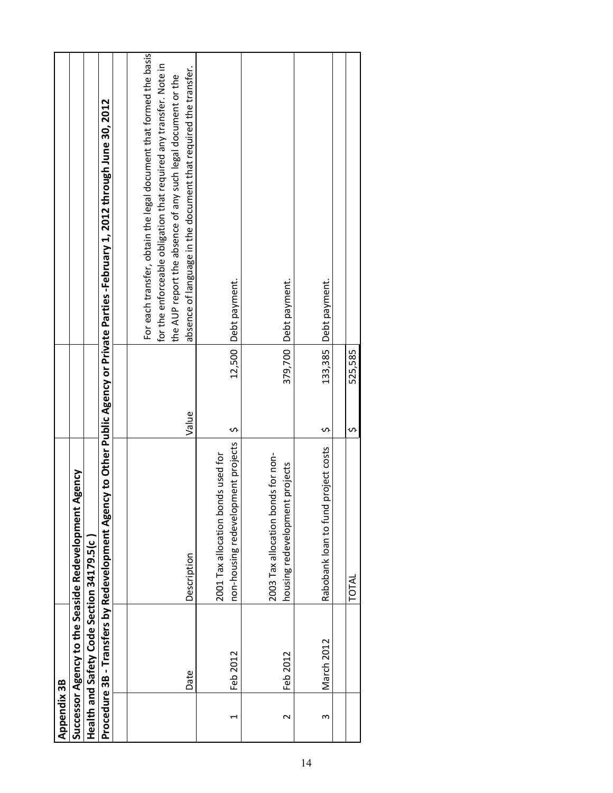| Appendix 3B |                                          |                                                                          |              |                                                                                                                                                                                                                                                                             |
|-------------|------------------------------------------|--------------------------------------------------------------------------|--------------|-----------------------------------------------------------------------------------------------------------------------------------------------------------------------------------------------------------------------------------------------------------------------------|
|             |                                          | Agency<br>Successor Agency to the Seaside Redevelopment                  |              |                                                                                                                                                                                                                                                                             |
|             | Health and Safety Code Section 34179.5(c |                                                                          |              |                                                                                                                                                                                                                                                                             |
|             |                                          |                                                                          |              | Procedure 3B - Transfers by Redevelopment Agency to Other Public Agency or Private Parties -February 1, 2012 through June 30, 2012                                                                                                                                          |
|             |                                          |                                                                          |              |                                                                                                                                                                                                                                                                             |
|             | Date                                     | Description                                                              | Value        | For each transfer, obtain the legal document that formed the basis<br>for the enforceable obligation that required any transfer. Note in<br>absence of language in the document that required the transfer.<br>the AUP report the absence of any such legal document or the |
| H           | Feb 2012                                 | non-housing redevelopment projects<br>2001 Tax allocation bonds used for | 12,500<br>S  | Debt payment.                                                                                                                                                                                                                                                               |
| N           | Feb 2012                                 | 2003 Tax allocation bonds for non-<br>housing redevelopment projects     |              | 379,700 Debt payment.                                                                                                                                                                                                                                                       |
| 3           | March 2012                               | project costs<br>Rabobank loan to fund                                   | 133,385<br>S | Debt payment.                                                                                                                                                                                                                                                               |
|             |                                          | TOTAL                                                                    | 525,585<br>S |                                                                                                                                                                                                                                                                             |
|             |                                          |                                                                          |              |                                                                                                                                                                                                                                                                             |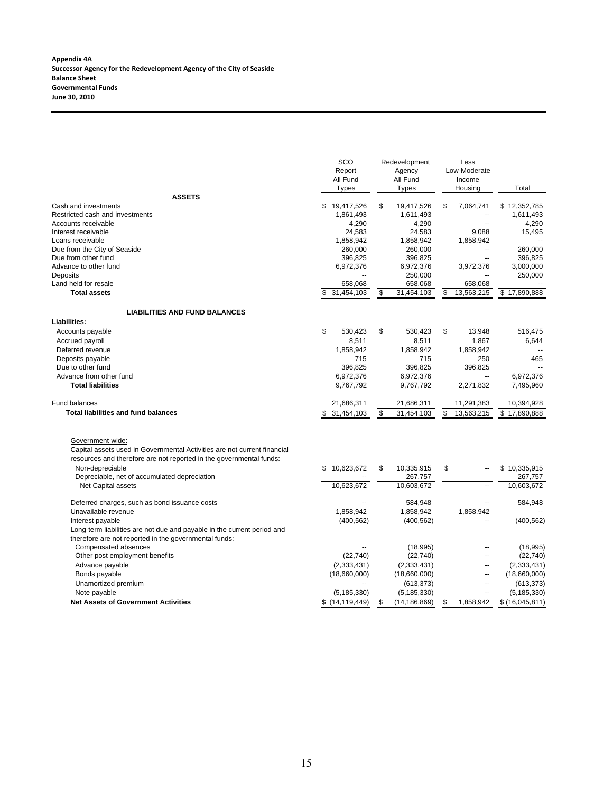|                                                                                                                                                                     | SCO<br>Report<br>All Fund<br><b>Types</b> | Redevelopment<br>Agency<br>All Fund<br><b>Types</b> | Less<br>Low-Moderate<br>Income<br>Housing | Total              |
|---------------------------------------------------------------------------------------------------------------------------------------------------------------------|-------------------------------------------|-----------------------------------------------------|-------------------------------------------|--------------------|
| <b>ASSETS</b>                                                                                                                                                       |                                           |                                                     |                                           |                    |
| Cash and investments                                                                                                                                                | \$19,417,526                              | \$<br>19,417,526                                    | \$<br>7,064,741                           | \$12,352,785       |
| Restricted cash and investments                                                                                                                                     | 1,861,493                                 | 1,611,493                                           | $\overline{a}$                            | 1,611,493          |
| Accounts receivable                                                                                                                                                 | 4,290                                     | 4,290                                               |                                           | 4,290              |
| Interest receivable                                                                                                                                                 | 24,583                                    | 24,583                                              | 9,088                                     | 15,495             |
| Loans receivable<br>Due from the City of Seaside                                                                                                                    | 1,858,942                                 | 1,858,942                                           | 1,858,942<br>Ξ.                           | 260,000            |
| Due from other fund                                                                                                                                                 | 260,000<br>396,825                        | 260,000                                             | Ξ.                                        | 396,825            |
| Advance to other fund                                                                                                                                               | 6,972,376                                 | 396,825<br>6,972,376                                | 3,972,376                                 | 3,000,000          |
| Deposits                                                                                                                                                            |                                           | 250,000                                             |                                           | 250,000            |
| Land held for resale                                                                                                                                                | 658,068                                   | 658,068                                             | 658,068                                   |                    |
| <b>Total assets</b>                                                                                                                                                 | \$                                        | \$                                                  | \$                                        | 17,890,888         |
|                                                                                                                                                                     | 31,454,103                                | 31,454,103                                          | 13,563,215                                | \$                 |
| <b>LIABILITIES AND FUND BALANCES</b>                                                                                                                                |                                           |                                                     |                                           |                    |
| Liabilities:                                                                                                                                                        |                                           |                                                     |                                           |                    |
| Accounts payable                                                                                                                                                    | \$<br>530.423                             | \$<br>530,423                                       | \$<br>13,948                              | 516,475            |
| Accrued payroll                                                                                                                                                     | 8,511                                     | 8,511                                               | 1,867                                     | 6,644              |
| Deferred revenue                                                                                                                                                    | 1,858,942                                 | 1,858,942                                           | 1,858,942                                 |                    |
| Deposits payable                                                                                                                                                    | 715                                       | 715                                                 | 250                                       | 465                |
| Due to other fund                                                                                                                                                   | 396,825                                   | 396,825                                             | 396,825                                   |                    |
| Advance from other fund                                                                                                                                             | 6,972,376                                 | 6,972,376                                           |                                           | 6,972,376          |
| <b>Total liabilities</b>                                                                                                                                            | 9,767,792                                 | 9,767,792                                           | 2,271,832                                 | 7,495,960          |
| <b>Fund balances</b>                                                                                                                                                | 21,686,311                                | 21,686,311                                          | 11,291,383                                | 10,394,928         |
| <b>Total liabilities and fund balances</b>                                                                                                                          | \$<br>31,454,103                          | \$<br>31,454,103                                    | \$<br>13,563,215                          | \$17,890,888       |
|                                                                                                                                                                     |                                           |                                                     |                                           |                    |
| Government-wide:<br>Capital assets used in Governmental Activities are not current financial<br>resources and therefore are not reported in the governmental funds: |                                           |                                                     |                                           |                    |
| Non-depreciable                                                                                                                                                     | \$<br>10,623,672                          | \$<br>10,335,915                                    | \$                                        | \$10,335,915       |
| Depreciable, net of accumulated depreciation                                                                                                                        |                                           | 267,757                                             |                                           | 267,757            |
| Net Capital assets                                                                                                                                                  | 10,623,672                                | 10,603,672                                          |                                           | 10,603,672         |
| Deferred charges, such as bond issuance costs                                                                                                                       |                                           | 584,948                                             |                                           | 584,948            |
| Unavailable revenue                                                                                                                                                 | 1,858,942                                 | 1,858,942                                           | 1,858,942                                 |                    |
| Interest payable                                                                                                                                                    | (400, 562)                                | (400, 562)                                          |                                           | (400, 562)         |
| Long-term liabilities are not due and payable in the current period and                                                                                             |                                           |                                                     |                                           |                    |
| therefore are not reported in the governmental funds:                                                                                                               |                                           |                                                     |                                           |                    |
| Compensated absences                                                                                                                                                |                                           | (18, 995)                                           | ц.                                        | (18,995)           |
| Other post employment benefits                                                                                                                                      | (22, 740)                                 | (22, 740)                                           | --                                        | (22, 740)          |
| Advance payable                                                                                                                                                     | (2, 333, 431)                             | (2,333,431)                                         | --                                        | (2, 333, 431)      |
| Bonds payable                                                                                                                                                       | (18,660,000)                              | (18,660,000)                                        | --                                        | (18,660,000)       |
| Unamortized premium                                                                                                                                                 |                                           | (613, 373)                                          |                                           | (613, 373)         |
| Note payable                                                                                                                                                        | (5, 185, 330)                             | (5, 185, 330)                                       |                                           | (5, 185, 330)      |
| <b>Net Assets of Government Activities</b>                                                                                                                          | \$(14, 119, 449)                          | \$<br>(14, 186, 869)                                | \$<br>1,858,942                           | $\sqrt{6,045,811}$ |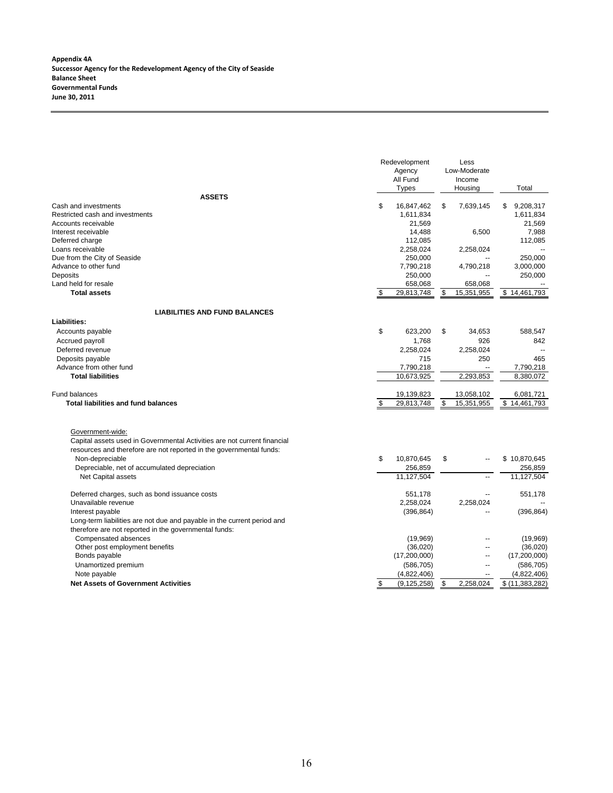**Appendix 4A Successor Agency for the Redevelopment Agency of the City of Seaside Balance Sheet Governmental Funds June 30, 2011**

|                                                                          | Redevelopment<br>Agency<br>All Fund<br><b>Types</b> | Less<br>Low-Moderate<br>Income<br>Housing | Total                     |
|--------------------------------------------------------------------------|-----------------------------------------------------|-------------------------------------------|---------------------------|
| <b>ASSETS</b>                                                            |                                                     |                                           |                           |
| Cash and investments                                                     | \$<br>16,847,462                                    | \$<br>7,639,145                           | \$<br>9,208,317           |
| Restricted cash and investments                                          | 1,611,834                                           |                                           | 1,611,834                 |
| Accounts receivable                                                      | 21,569                                              |                                           | 21,569                    |
| Interest receivable                                                      | 14,488                                              | 6,500                                     | 7,988                     |
| Deferred charge                                                          | 112,085                                             |                                           | 112,085                   |
| Loans receivable                                                         | 2,258,024                                           | 2,258,024                                 |                           |
| Due from the City of Seaside                                             | 250,000                                             |                                           | 250,000                   |
| Advance to other fund                                                    | 7,790,218                                           | 4,790,218                                 | 3,000,000                 |
| Deposits                                                                 | 250,000                                             | $\overline{a}$                            | 250,000                   |
| Land held for resale                                                     | 658,068                                             | 658,068                                   |                           |
| <b>Total assets</b>                                                      | \$<br>29,813,748                                    | \$<br>15,351,955                          | \$14,461,793              |
| <b>LIABILITIES AND FUND BALANCES</b>                                     |                                                     |                                           |                           |
| <b>Liabilities:</b>                                                      |                                                     |                                           |                           |
| Accounts payable                                                         | \$<br>623,200                                       | \$<br>34,653                              | 588,547                   |
| Accrued payroll                                                          | 1,768                                               | 926                                       | 842                       |
| Deferred revenue                                                         | 2,258,024                                           | 2,258,024                                 |                           |
| Deposits payable                                                         | 715                                                 | 250                                       | 465                       |
| Advance from other fund                                                  | 7,790,218                                           | $\ddotsc$                                 | 7,790,218                 |
| <b>Total liabilities</b>                                                 | 10,673,925                                          | 2,293,853                                 | 8.380.072                 |
|                                                                          |                                                     |                                           |                           |
| Fund balances                                                            | 19,139,823                                          | 13,058,102                                | 6,081,721<br>\$14,461,793 |
| <b>Total liabilities and fund balances</b>                               | \$<br>29,813,748                                    | \$<br>15,351,955                          |                           |
| Government-wide:                                                         |                                                     |                                           |                           |
| Capital assets used in Governmental Activities are not current financial |                                                     |                                           |                           |
| resources and therefore are not reported in the governmental funds:      |                                                     |                                           |                           |
| Non-depreciable                                                          | \$<br>10,870,645                                    | \$                                        | \$10,870,645              |
| Depreciable, net of accumulated depreciation                             | 256,859                                             |                                           | 256,859                   |
| Net Capital assets                                                       | 11,127,504                                          | $\overline{a}$                            | 11,127,504                |
|                                                                          |                                                     |                                           |                           |
| Deferred charges, such as bond issuance costs                            | 551,178                                             |                                           | 551,178                   |
| Unavailable revenue                                                      | 2,258,024                                           | 2,258,024                                 |                           |
| Interest payable                                                         | (396, 864)                                          | $\overline{a}$                            | (396, 864)                |
| Long-term liabilities are not due and payable in the current period and  |                                                     |                                           |                           |
| therefore are not reported in the governmental funds:                    |                                                     |                                           |                           |
| Compensated absences                                                     | (19,969)                                            |                                           | (19,969)                  |
| Other post employment benefits                                           | (36,020)                                            | $\overline{a}$                            | (36,020)                  |
| Bonds payable                                                            | (17,200,000)                                        | --                                        | (17,200,000)              |
| Unamortized premium                                                      | (586, 705)                                          | $\overline{\phantom{a}}$                  | (586, 705)                |
| Note payable                                                             | (4,822,406)                                         | $\overline{\phantom{a}}$                  | (4,822,406)               |
| <b>Net Assets of Government Activities</b>                               | \$<br>(9, 125, 258)                                 | \$<br>2,258,024                           | \$ (11,383,282)           |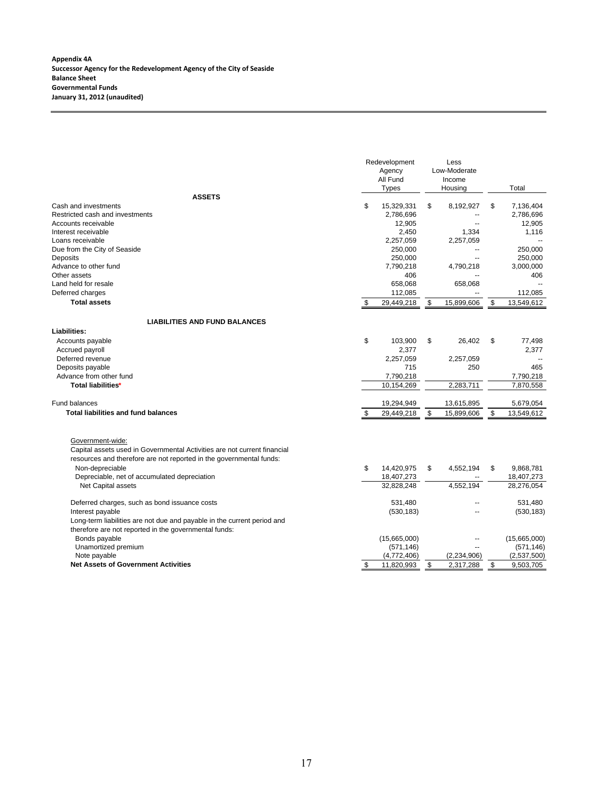| Low-Moderate<br>Agency<br>All Fund<br>Income<br>Total<br><b>Types</b><br>Housing<br><b>ASSETS</b><br>\$<br>Cash and investments<br>15,329,331<br>\$<br>8,192,927<br>\$<br>7,136,404<br>Restricted cash and investments<br>2,786,696<br>2,786,696<br>--<br>12.905<br>12,905<br>Accounts receivable<br>$\overline{a}$<br>2,450<br>1.334<br>Interest receivable<br>1,116<br>2,257,059<br>2,257,059<br>Loans receivable<br>Due from the City of Seaside<br>250,000<br>250,000<br>$\overline{a}$<br>Deposits<br>250,000<br>250,000<br>Advance to other fund<br>7,790,218<br>4,790,218<br>3,000,000<br>406<br>Other assets<br>406<br>Land held for resale<br>658,068<br>658,068<br>Deferred charges<br>112,085<br>112,085<br><b>Total assets</b><br>\$<br>29,449,218<br>15,899,606<br>\$<br>13,549,612<br>\$<br><b>LIABILITIES AND FUND BALANCES</b><br>Liabilities:<br>\$<br>103,900<br>\$<br>26.402<br>\$<br>77,498<br>Accounts payable<br>Accrued payroll<br>2,377<br>2,377<br>Deferred revenue<br>2,257,059<br>2,257,059<br>715<br>250<br>465<br>Deposits payable<br>Advance from other fund<br>7,790,218<br>7,790,218<br>10,154,269<br>2,283,711<br>7,870,558<br>Total liabilities*<br>Fund balances<br>19,294,949<br>13,615,895<br>5,679,054<br><b>Total liabilities and fund balances</b><br>\$<br>15,899,606<br>\$<br>13,549,612<br>\$<br>29,449,218<br>Government-wide:<br>Capital assets used in Governmental Activities are not current financial<br>resources and therefore are not reported in the governmental funds:<br>\$<br>14,420,975<br>4,552,194<br>9,868,781<br>Non-depreciable<br>\$<br>\$<br>Depreciable, net of accumulated depreciation<br>18,407,273<br>18,407,273<br>32,828,248<br>4,552,194<br>28,276,054<br>Net Capital assets<br>Deferred charges, such as bond issuance costs<br>531,480<br>531,480<br>Interest payable<br>(530, 183)<br>(530, 183)<br>Long-term liabilities are not due and payable in the current period and<br>therefore are not reported in the governmental funds:<br>Bonds payable<br>(15,665,000)<br>(15,665,000)<br>Unamortized premium<br>(571, 146)<br>(571, 146)<br>Note payable<br>(4,772,406)<br>(2,537,500)<br>(2, 234, 906)<br><b>Net Assets of Government Activities</b><br>$\boldsymbol{\mathsf{S}}$<br>11,820,993<br>\$<br>2,317,288<br>\$<br>9,503,705 |  | Redevelopment | Less |  |
|--------------------------------------------------------------------------------------------------------------------------------------------------------------------------------------------------------------------------------------------------------------------------------------------------------------------------------------------------------------------------------------------------------------------------------------------------------------------------------------------------------------------------------------------------------------------------------------------------------------------------------------------------------------------------------------------------------------------------------------------------------------------------------------------------------------------------------------------------------------------------------------------------------------------------------------------------------------------------------------------------------------------------------------------------------------------------------------------------------------------------------------------------------------------------------------------------------------------------------------------------------------------------------------------------------------------------------------------------------------------------------------------------------------------------------------------------------------------------------------------------------------------------------------------------------------------------------------------------------------------------------------------------------------------------------------------------------------------------------------------------------------------------------------------------------------------------------------------------------------------------------------------------------------------------------------------------------------------------------------------------------------------------------------------------------------------------------------------------------------------------------------------------------------------------------------------------------------------------------------------------------------------------------------------------------------------|--|---------------|------|--|
|                                                                                                                                                                                                                                                                                                                                                                                                                                                                                                                                                                                                                                                                                                                                                                                                                                                                                                                                                                                                                                                                                                                                                                                                                                                                                                                                                                                                                                                                                                                                                                                                                                                                                                                                                                                                                                                                                                                                                                                                                                                                                                                                                                                                                                                                                                                    |  |               |      |  |
|                                                                                                                                                                                                                                                                                                                                                                                                                                                                                                                                                                                                                                                                                                                                                                                                                                                                                                                                                                                                                                                                                                                                                                                                                                                                                                                                                                                                                                                                                                                                                                                                                                                                                                                                                                                                                                                                                                                                                                                                                                                                                                                                                                                                                                                                                                                    |  |               |      |  |
|                                                                                                                                                                                                                                                                                                                                                                                                                                                                                                                                                                                                                                                                                                                                                                                                                                                                                                                                                                                                                                                                                                                                                                                                                                                                                                                                                                                                                                                                                                                                                                                                                                                                                                                                                                                                                                                                                                                                                                                                                                                                                                                                                                                                                                                                                                                    |  |               |      |  |
|                                                                                                                                                                                                                                                                                                                                                                                                                                                                                                                                                                                                                                                                                                                                                                                                                                                                                                                                                                                                                                                                                                                                                                                                                                                                                                                                                                                                                                                                                                                                                                                                                                                                                                                                                                                                                                                                                                                                                                                                                                                                                                                                                                                                                                                                                                                    |  |               |      |  |
|                                                                                                                                                                                                                                                                                                                                                                                                                                                                                                                                                                                                                                                                                                                                                                                                                                                                                                                                                                                                                                                                                                                                                                                                                                                                                                                                                                                                                                                                                                                                                                                                                                                                                                                                                                                                                                                                                                                                                                                                                                                                                                                                                                                                                                                                                                                    |  |               |      |  |
|                                                                                                                                                                                                                                                                                                                                                                                                                                                                                                                                                                                                                                                                                                                                                                                                                                                                                                                                                                                                                                                                                                                                                                                                                                                                                                                                                                                                                                                                                                                                                                                                                                                                                                                                                                                                                                                                                                                                                                                                                                                                                                                                                                                                                                                                                                                    |  |               |      |  |
|                                                                                                                                                                                                                                                                                                                                                                                                                                                                                                                                                                                                                                                                                                                                                                                                                                                                                                                                                                                                                                                                                                                                                                                                                                                                                                                                                                                                                                                                                                                                                                                                                                                                                                                                                                                                                                                                                                                                                                                                                                                                                                                                                                                                                                                                                                                    |  |               |      |  |
|                                                                                                                                                                                                                                                                                                                                                                                                                                                                                                                                                                                                                                                                                                                                                                                                                                                                                                                                                                                                                                                                                                                                                                                                                                                                                                                                                                                                                                                                                                                                                                                                                                                                                                                                                                                                                                                                                                                                                                                                                                                                                                                                                                                                                                                                                                                    |  |               |      |  |
|                                                                                                                                                                                                                                                                                                                                                                                                                                                                                                                                                                                                                                                                                                                                                                                                                                                                                                                                                                                                                                                                                                                                                                                                                                                                                                                                                                                                                                                                                                                                                                                                                                                                                                                                                                                                                                                                                                                                                                                                                                                                                                                                                                                                                                                                                                                    |  |               |      |  |
|                                                                                                                                                                                                                                                                                                                                                                                                                                                                                                                                                                                                                                                                                                                                                                                                                                                                                                                                                                                                                                                                                                                                                                                                                                                                                                                                                                                                                                                                                                                                                                                                                                                                                                                                                                                                                                                                                                                                                                                                                                                                                                                                                                                                                                                                                                                    |  |               |      |  |
|                                                                                                                                                                                                                                                                                                                                                                                                                                                                                                                                                                                                                                                                                                                                                                                                                                                                                                                                                                                                                                                                                                                                                                                                                                                                                                                                                                                                                                                                                                                                                                                                                                                                                                                                                                                                                                                                                                                                                                                                                                                                                                                                                                                                                                                                                                                    |  |               |      |  |
|                                                                                                                                                                                                                                                                                                                                                                                                                                                                                                                                                                                                                                                                                                                                                                                                                                                                                                                                                                                                                                                                                                                                                                                                                                                                                                                                                                                                                                                                                                                                                                                                                                                                                                                                                                                                                                                                                                                                                                                                                                                                                                                                                                                                                                                                                                                    |  |               |      |  |
|                                                                                                                                                                                                                                                                                                                                                                                                                                                                                                                                                                                                                                                                                                                                                                                                                                                                                                                                                                                                                                                                                                                                                                                                                                                                                                                                                                                                                                                                                                                                                                                                                                                                                                                                                                                                                                                                                                                                                                                                                                                                                                                                                                                                                                                                                                                    |  |               |      |  |
|                                                                                                                                                                                                                                                                                                                                                                                                                                                                                                                                                                                                                                                                                                                                                                                                                                                                                                                                                                                                                                                                                                                                                                                                                                                                                                                                                                                                                                                                                                                                                                                                                                                                                                                                                                                                                                                                                                                                                                                                                                                                                                                                                                                                                                                                                                                    |  |               |      |  |
|                                                                                                                                                                                                                                                                                                                                                                                                                                                                                                                                                                                                                                                                                                                                                                                                                                                                                                                                                                                                                                                                                                                                                                                                                                                                                                                                                                                                                                                                                                                                                                                                                                                                                                                                                                                                                                                                                                                                                                                                                                                                                                                                                                                                                                                                                                                    |  |               |      |  |
|                                                                                                                                                                                                                                                                                                                                                                                                                                                                                                                                                                                                                                                                                                                                                                                                                                                                                                                                                                                                                                                                                                                                                                                                                                                                                                                                                                                                                                                                                                                                                                                                                                                                                                                                                                                                                                                                                                                                                                                                                                                                                                                                                                                                                                                                                                                    |  |               |      |  |
|                                                                                                                                                                                                                                                                                                                                                                                                                                                                                                                                                                                                                                                                                                                                                                                                                                                                                                                                                                                                                                                                                                                                                                                                                                                                                                                                                                                                                                                                                                                                                                                                                                                                                                                                                                                                                                                                                                                                                                                                                                                                                                                                                                                                                                                                                                                    |  |               |      |  |
|                                                                                                                                                                                                                                                                                                                                                                                                                                                                                                                                                                                                                                                                                                                                                                                                                                                                                                                                                                                                                                                                                                                                                                                                                                                                                                                                                                                                                                                                                                                                                                                                                                                                                                                                                                                                                                                                                                                                                                                                                                                                                                                                                                                                                                                                                                                    |  |               |      |  |
|                                                                                                                                                                                                                                                                                                                                                                                                                                                                                                                                                                                                                                                                                                                                                                                                                                                                                                                                                                                                                                                                                                                                                                                                                                                                                                                                                                                                                                                                                                                                                                                                                                                                                                                                                                                                                                                                                                                                                                                                                                                                                                                                                                                                                                                                                                                    |  |               |      |  |
|                                                                                                                                                                                                                                                                                                                                                                                                                                                                                                                                                                                                                                                                                                                                                                                                                                                                                                                                                                                                                                                                                                                                                                                                                                                                                                                                                                                                                                                                                                                                                                                                                                                                                                                                                                                                                                                                                                                                                                                                                                                                                                                                                                                                                                                                                                                    |  |               |      |  |
|                                                                                                                                                                                                                                                                                                                                                                                                                                                                                                                                                                                                                                                                                                                                                                                                                                                                                                                                                                                                                                                                                                                                                                                                                                                                                                                                                                                                                                                                                                                                                                                                                                                                                                                                                                                                                                                                                                                                                                                                                                                                                                                                                                                                                                                                                                                    |  |               |      |  |
|                                                                                                                                                                                                                                                                                                                                                                                                                                                                                                                                                                                                                                                                                                                                                                                                                                                                                                                                                                                                                                                                                                                                                                                                                                                                                                                                                                                                                                                                                                                                                                                                                                                                                                                                                                                                                                                                                                                                                                                                                                                                                                                                                                                                                                                                                                                    |  |               |      |  |
|                                                                                                                                                                                                                                                                                                                                                                                                                                                                                                                                                                                                                                                                                                                                                                                                                                                                                                                                                                                                                                                                                                                                                                                                                                                                                                                                                                                                                                                                                                                                                                                                                                                                                                                                                                                                                                                                                                                                                                                                                                                                                                                                                                                                                                                                                                                    |  |               |      |  |
|                                                                                                                                                                                                                                                                                                                                                                                                                                                                                                                                                                                                                                                                                                                                                                                                                                                                                                                                                                                                                                                                                                                                                                                                                                                                                                                                                                                                                                                                                                                                                                                                                                                                                                                                                                                                                                                                                                                                                                                                                                                                                                                                                                                                                                                                                                                    |  |               |      |  |
|                                                                                                                                                                                                                                                                                                                                                                                                                                                                                                                                                                                                                                                                                                                                                                                                                                                                                                                                                                                                                                                                                                                                                                                                                                                                                                                                                                                                                                                                                                                                                                                                                                                                                                                                                                                                                                                                                                                                                                                                                                                                                                                                                                                                                                                                                                                    |  |               |      |  |
|                                                                                                                                                                                                                                                                                                                                                                                                                                                                                                                                                                                                                                                                                                                                                                                                                                                                                                                                                                                                                                                                                                                                                                                                                                                                                                                                                                                                                                                                                                                                                                                                                                                                                                                                                                                                                                                                                                                                                                                                                                                                                                                                                                                                                                                                                                                    |  |               |      |  |
|                                                                                                                                                                                                                                                                                                                                                                                                                                                                                                                                                                                                                                                                                                                                                                                                                                                                                                                                                                                                                                                                                                                                                                                                                                                                                                                                                                                                                                                                                                                                                                                                                                                                                                                                                                                                                                                                                                                                                                                                                                                                                                                                                                                                                                                                                                                    |  |               |      |  |
|                                                                                                                                                                                                                                                                                                                                                                                                                                                                                                                                                                                                                                                                                                                                                                                                                                                                                                                                                                                                                                                                                                                                                                                                                                                                                                                                                                                                                                                                                                                                                                                                                                                                                                                                                                                                                                                                                                                                                                                                                                                                                                                                                                                                                                                                                                                    |  |               |      |  |
|                                                                                                                                                                                                                                                                                                                                                                                                                                                                                                                                                                                                                                                                                                                                                                                                                                                                                                                                                                                                                                                                                                                                                                                                                                                                                                                                                                                                                                                                                                                                                                                                                                                                                                                                                                                                                                                                                                                                                                                                                                                                                                                                                                                                                                                                                                                    |  |               |      |  |
|                                                                                                                                                                                                                                                                                                                                                                                                                                                                                                                                                                                                                                                                                                                                                                                                                                                                                                                                                                                                                                                                                                                                                                                                                                                                                                                                                                                                                                                                                                                                                                                                                                                                                                                                                                                                                                                                                                                                                                                                                                                                                                                                                                                                                                                                                                                    |  |               |      |  |
|                                                                                                                                                                                                                                                                                                                                                                                                                                                                                                                                                                                                                                                                                                                                                                                                                                                                                                                                                                                                                                                                                                                                                                                                                                                                                                                                                                                                                                                                                                                                                                                                                                                                                                                                                                                                                                                                                                                                                                                                                                                                                                                                                                                                                                                                                                                    |  |               |      |  |
|                                                                                                                                                                                                                                                                                                                                                                                                                                                                                                                                                                                                                                                                                                                                                                                                                                                                                                                                                                                                                                                                                                                                                                                                                                                                                                                                                                                                                                                                                                                                                                                                                                                                                                                                                                                                                                                                                                                                                                                                                                                                                                                                                                                                                                                                                                                    |  |               |      |  |
|                                                                                                                                                                                                                                                                                                                                                                                                                                                                                                                                                                                                                                                                                                                                                                                                                                                                                                                                                                                                                                                                                                                                                                                                                                                                                                                                                                                                                                                                                                                                                                                                                                                                                                                                                                                                                                                                                                                                                                                                                                                                                                                                                                                                                                                                                                                    |  |               |      |  |
|                                                                                                                                                                                                                                                                                                                                                                                                                                                                                                                                                                                                                                                                                                                                                                                                                                                                                                                                                                                                                                                                                                                                                                                                                                                                                                                                                                                                                                                                                                                                                                                                                                                                                                                                                                                                                                                                                                                                                                                                                                                                                                                                                                                                                                                                                                                    |  |               |      |  |
|                                                                                                                                                                                                                                                                                                                                                                                                                                                                                                                                                                                                                                                                                                                                                                                                                                                                                                                                                                                                                                                                                                                                                                                                                                                                                                                                                                                                                                                                                                                                                                                                                                                                                                                                                                                                                                                                                                                                                                                                                                                                                                                                                                                                                                                                                                                    |  |               |      |  |
|                                                                                                                                                                                                                                                                                                                                                                                                                                                                                                                                                                                                                                                                                                                                                                                                                                                                                                                                                                                                                                                                                                                                                                                                                                                                                                                                                                                                                                                                                                                                                                                                                                                                                                                                                                                                                                                                                                                                                                                                                                                                                                                                                                                                                                                                                                                    |  |               |      |  |
|                                                                                                                                                                                                                                                                                                                                                                                                                                                                                                                                                                                                                                                                                                                                                                                                                                                                                                                                                                                                                                                                                                                                                                                                                                                                                                                                                                                                                                                                                                                                                                                                                                                                                                                                                                                                                                                                                                                                                                                                                                                                                                                                                                                                                                                                                                                    |  |               |      |  |
|                                                                                                                                                                                                                                                                                                                                                                                                                                                                                                                                                                                                                                                                                                                                                                                                                                                                                                                                                                                                                                                                                                                                                                                                                                                                                                                                                                                                                                                                                                                                                                                                                                                                                                                                                                                                                                                                                                                                                                                                                                                                                                                                                                                                                                                                                                                    |  |               |      |  |
|                                                                                                                                                                                                                                                                                                                                                                                                                                                                                                                                                                                                                                                                                                                                                                                                                                                                                                                                                                                                                                                                                                                                                                                                                                                                                                                                                                                                                                                                                                                                                                                                                                                                                                                                                                                                                                                                                                                                                                                                                                                                                                                                                                                                                                                                                                                    |  |               |      |  |
|                                                                                                                                                                                                                                                                                                                                                                                                                                                                                                                                                                                                                                                                                                                                                                                                                                                                                                                                                                                                                                                                                                                                                                                                                                                                                                                                                                                                                                                                                                                                                                                                                                                                                                                                                                                                                                                                                                                                                                                                                                                                                                                                                                                                                                                                                                                    |  |               |      |  |
|                                                                                                                                                                                                                                                                                                                                                                                                                                                                                                                                                                                                                                                                                                                                                                                                                                                                                                                                                                                                                                                                                                                                                                                                                                                                                                                                                                                                                                                                                                                                                                                                                                                                                                                                                                                                                                                                                                                                                                                                                                                                                                                                                                                                                                                                                                                    |  |               |      |  |
|                                                                                                                                                                                                                                                                                                                                                                                                                                                                                                                                                                                                                                                                                                                                                                                                                                                                                                                                                                                                                                                                                                                                                                                                                                                                                                                                                                                                                                                                                                                                                                                                                                                                                                                                                                                                                                                                                                                                                                                                                                                                                                                                                                                                                                                                                                                    |  |               |      |  |
|                                                                                                                                                                                                                                                                                                                                                                                                                                                                                                                                                                                                                                                                                                                                                                                                                                                                                                                                                                                                                                                                                                                                                                                                                                                                                                                                                                                                                                                                                                                                                                                                                                                                                                                                                                                                                                                                                                                                                                                                                                                                                                                                                                                                                                                                                                                    |  |               |      |  |
|                                                                                                                                                                                                                                                                                                                                                                                                                                                                                                                                                                                                                                                                                                                                                                                                                                                                                                                                                                                                                                                                                                                                                                                                                                                                                                                                                                                                                                                                                                                                                                                                                                                                                                                                                                                                                                                                                                                                                                                                                                                                                                                                                                                                                                                                                                                    |  |               |      |  |
|                                                                                                                                                                                                                                                                                                                                                                                                                                                                                                                                                                                                                                                                                                                                                                                                                                                                                                                                                                                                                                                                                                                                                                                                                                                                                                                                                                                                                                                                                                                                                                                                                                                                                                                                                                                                                                                                                                                                                                                                                                                                                                                                                                                                                                                                                                                    |  |               |      |  |
|                                                                                                                                                                                                                                                                                                                                                                                                                                                                                                                                                                                                                                                                                                                                                                                                                                                                                                                                                                                                                                                                                                                                                                                                                                                                                                                                                                                                                                                                                                                                                                                                                                                                                                                                                                                                                                                                                                                                                                                                                                                                                                                                                                                                                                                                                                                    |  |               |      |  |
|                                                                                                                                                                                                                                                                                                                                                                                                                                                                                                                                                                                                                                                                                                                                                                                                                                                                                                                                                                                                                                                                                                                                                                                                                                                                                                                                                                                                                                                                                                                                                                                                                                                                                                                                                                                                                                                                                                                                                                                                                                                                                                                                                                                                                                                                                                                    |  |               |      |  |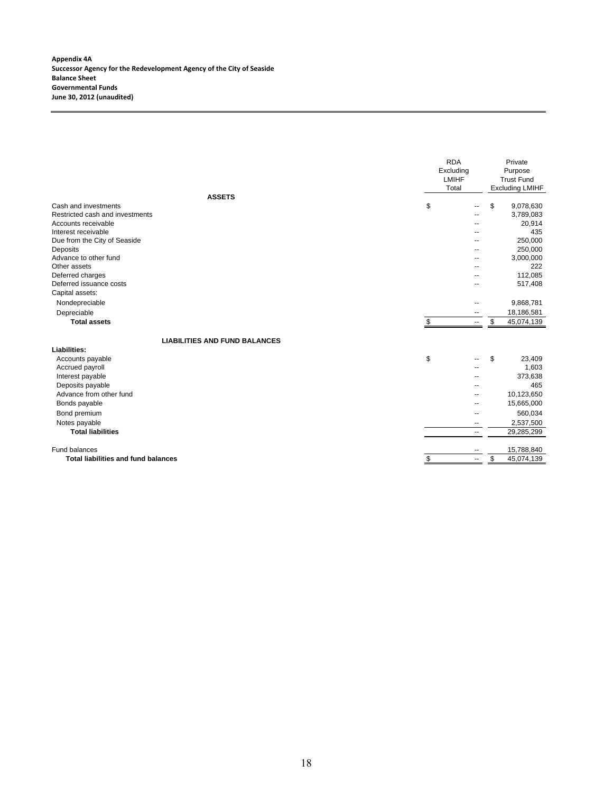**Appendix 4A Successor Agency for the Redevelopment Agency of the City of Seaside Balance Sheet Governmental Funds June 30, 2012 (unaudited)**

|                                            | <b>RDA</b><br>Excluding<br><b>LMIHF</b><br>Total |                          | Private<br>Purpose<br><b>Trust Fund</b><br><b>Excluding LMIHF</b> |
|--------------------------------------------|--------------------------------------------------|--------------------------|-------------------------------------------------------------------|
| <b>ASSETS</b>                              |                                                  |                          |                                                                   |
| Cash and investments                       | \$                                               |                          | \$<br>9,078,630                                                   |
| Restricted cash and investments            |                                                  |                          | 3,789,083                                                         |
| Accounts receivable                        |                                                  |                          | 20,914                                                            |
| Interest receivable                        |                                                  |                          | 435                                                               |
| Due from the City of Seaside               |                                                  |                          | 250,000                                                           |
| Deposits                                   |                                                  | --                       | 250,000                                                           |
| Advance to other fund                      |                                                  |                          | 3,000,000                                                         |
| Other assets                               |                                                  |                          | 222                                                               |
| Deferred charges                           |                                                  |                          | 112.085                                                           |
| Deferred issuance costs                    |                                                  |                          | 517,408                                                           |
| Capital assets:                            |                                                  |                          |                                                                   |
| Nondepreciable                             |                                                  |                          | 9,868,781                                                         |
| Depreciable                                |                                                  | $\overline{a}$           | 18,186,581                                                        |
| <b>Total assets</b>                        | \$                                               | $\overline{\phantom{a}}$ | \$<br>45,074,139                                                  |
| <b>LIABILITIES AND FUND BALANCES</b>       |                                                  |                          |                                                                   |
| Liabilities:                               |                                                  |                          |                                                                   |
| Accounts payable                           | \$                                               |                          | \$<br>23,409                                                      |
| Accrued payroll                            |                                                  |                          | 1,603                                                             |
| Interest payable                           |                                                  |                          | 373,638                                                           |
| Deposits payable                           |                                                  |                          | 465                                                               |
| Advance from other fund                    |                                                  |                          | 10,123,650                                                        |
| Bonds payable                              |                                                  |                          | 15,665,000                                                        |
| Bond premium                               |                                                  |                          | 560,034                                                           |
| Notes payable                              |                                                  | ⊷                        | 2,537,500                                                         |
| <b>Total liabilities</b>                   |                                                  | ۰.                       | 29,285,299                                                        |
| Fund balances                              |                                                  |                          | 15,788,840                                                        |
| <b>Total liabilities and fund balances</b> | \$                                               | $\overline{\phantom{a}}$ | \$<br>45,074,139                                                  |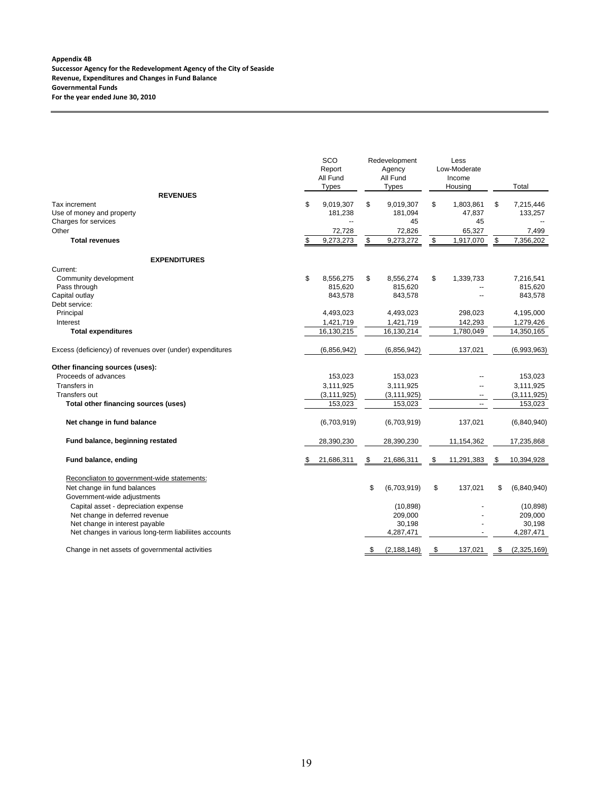#### **Appendix 4B Successor Agency for the Redevelopment Agency of the City of Seaside Revenue, Expenditures and Changes in Fund Balance Governmental Funds For the year ended June 30, 2010**

|                                                           | SCO<br>Report<br>All Fund<br><b>Types</b> |      | Redevelopment<br>Agency<br>All Fund<br><b>Types</b> |                         | Less<br>Low-Moderate<br>Income<br>Housing |     | Total         |
|-----------------------------------------------------------|-------------------------------------------|------|-----------------------------------------------------|-------------------------|-------------------------------------------|-----|---------------|
| <b>REVENUES</b>                                           |                                           |      |                                                     |                         |                                           |     |               |
| Tax increment                                             | \$<br>9,019,307<br>181,238                | \$   | 9,019,307                                           | \$                      | 1,803,861                                 | \$  | 7,215,446     |
| Use of money and property<br>Charges for services         | --                                        |      | 181,094<br>45                                       |                         | 47,837<br>45                              |     | 133,257       |
| Other                                                     | 72,728                                    |      | 72,826                                              |                         | 65,327                                    |     | 7,499         |
| <b>Total revenues</b>                                     | \$<br>9,273,273                           | \$   | 9,273,272                                           | $\sqrt[6]{\frac{1}{2}}$ | 1,917,070                                 | \$  | 7,356,202     |
|                                                           |                                           |      |                                                     |                         |                                           |     |               |
| <b>EXPENDITURES</b>                                       |                                           |      |                                                     |                         |                                           |     |               |
| Current:                                                  |                                           |      |                                                     |                         |                                           |     |               |
| Community development                                     | \$<br>8,556,275                           | \$   | 8.556.274                                           | \$                      | 1,339,733                                 |     | 7,216,541     |
| Pass through                                              | 815,620                                   |      | 815,620                                             |                         |                                           |     | 815,620       |
| Capital outlay                                            | 843,578                                   |      | 843,578                                             |                         |                                           |     | 843,578       |
| Debt service:                                             |                                           |      |                                                     |                         |                                           |     |               |
| Principal                                                 | 4,493,023                                 |      | 4,493,023                                           |                         | 298,023                                   |     | 4,195,000     |
| Interest                                                  | 1,421,719                                 |      | 1,421,719                                           |                         | 142,293                                   |     | 1,279,426     |
| <b>Total expenditures</b>                                 | 16,130,215                                |      | 16,130,214                                          |                         | 1,780,049                                 |     | 14,350,165    |
| Excess (deficiency) of revenues over (under) expenditures | (6,856,942)                               |      | (6,856,942)                                         |                         | 137,021                                   |     | (6,993,963)   |
| Other financing sources (uses):                           |                                           |      |                                                     |                         |                                           |     |               |
| Proceeds of advances                                      | 153,023                                   |      | 153,023                                             |                         |                                           |     | 153,023       |
| Transfers in                                              | 3,111,925                                 |      | 3,111,925                                           |                         |                                           |     | 3,111,925     |
| <b>Transfers out</b>                                      | (3, 111, 925)                             |      | (3, 111, 925)                                       |                         | $\overline{a}$                            |     | (3, 111, 925) |
| Total other financing sources (uses)                      | 153,023                                   |      | 153,023                                             |                         | ä,                                        |     | 153,023       |
| Net change in fund balance                                | (6,703,919)                               |      | (6,703,919)                                         |                         | 137,021                                   |     | (6,840,940)   |
|                                                           |                                           |      |                                                     |                         |                                           |     |               |
| Fund balance, beginning restated                          | 28,390,230                                |      | 28,390,230                                          |                         | 11,154,362                                |     | 17,235,868    |
| Fund balance, ending                                      | 21,686,311                                | \$   | 21,686,311                                          | \$                      | 11,291,383                                | \$. | 10,394,928    |
| Reconcliaton to government-wide statements:               |                                           |      |                                                     |                         |                                           |     |               |
| Net change iin fund balances                              |                                           | \$   | (6,703,919)                                         | \$                      | 137,021                                   | \$  | (6,840,940)   |
| Government-wide adjustments                               |                                           |      |                                                     |                         |                                           |     |               |
| Capital asset - depreciation expense                      |                                           |      | (10, 898)                                           |                         |                                           |     | (10, 898)     |
| Net change in deferred revenue                            |                                           |      | 209,000                                             |                         |                                           |     | 209,000       |
| Net change in interest payable                            |                                           |      | 30,198                                              |                         |                                           |     | 30,198        |
| Net changes in various long-term liabiliites accounts     |                                           |      | 4,287,471                                           |                         |                                           |     | 4,287,471     |
| Change in net assets of governmental activities           |                                           | - \$ | (2, 188, 148)                                       | - \$                    | 137,021                                   | \$  | (2,325,169)   |
|                                                           |                                           |      |                                                     |                         |                                           |     |               |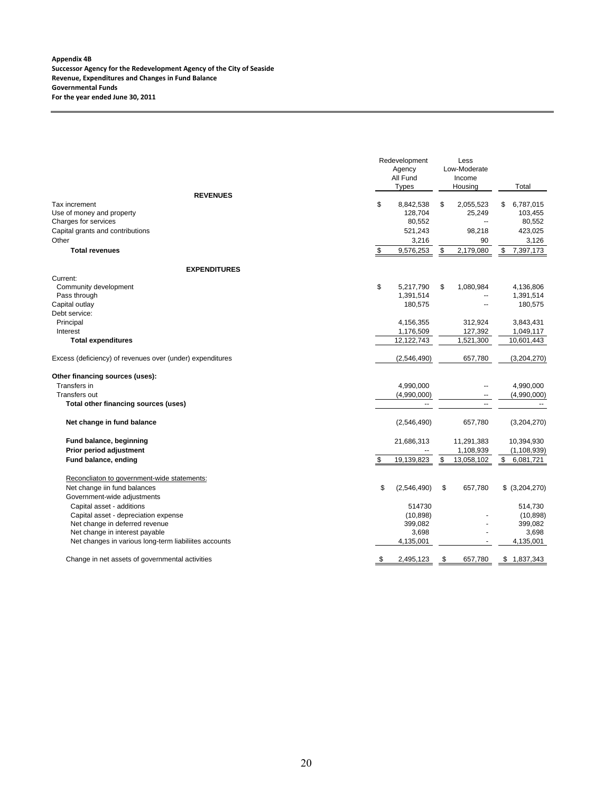|                                                                                                            | Redevelopment<br>Agency<br>All Fund<br><b>Types</b> | Less<br>Low-Moderate<br>Income<br>Housing | Total                                           |
|------------------------------------------------------------------------------------------------------------|-----------------------------------------------------|-------------------------------------------|-------------------------------------------------|
| <b>REVENUES</b>                                                                                            |                                                     |                                           |                                                 |
| Tax increment<br>Use of money and property<br>Charges for services<br>Capital grants and contributions     | \$<br>8,842,538<br>128,704<br>80,552<br>521,243     | \$<br>2,055,523<br>25,249<br>98,218       | 6,787,015<br>\$<br>103,455<br>80,552<br>423,025 |
| Other<br><b>Total revenues</b>                                                                             | \$<br>3,216<br>9,576,253                            | \$<br>90<br>2,179,080                     | 3,126<br>7,397,173                              |
|                                                                                                            |                                                     |                                           |                                                 |
| <b>EXPENDITURES</b>                                                                                        |                                                     |                                           |                                                 |
| Current:<br>Community development<br>Pass through<br>Capital outlay                                        | \$<br>5,217,790<br>1,391,514<br>180,575             | \$<br>1,080,984                           | 4,136,806<br>1,391,514<br>180,575               |
| Debt service:<br>Principal<br>Interest                                                                     | 4,156,355<br>1,176,509                              | 312,924<br>127,392                        | 3,843,431<br>1,049,117                          |
| <b>Total expenditures</b>                                                                                  | 12,122,743                                          | 1,521,300                                 | 10,601,443                                      |
| Excess (deficiency) of revenues over (under) expenditures                                                  | (2,546,490)                                         | 657,780                                   | (3,204,270)                                     |
| Other financing sources (uses):<br>Transfers in                                                            | 4,990,000                                           |                                           | 4,990,000                                       |
| <b>Transfers out</b><br>Total other financing sources (uses)                                               | (4,990,000)<br>$\overline{\phantom{a}}$             |                                           | (4,990,000)                                     |
| Net change in fund balance                                                                                 | (2,546,490)                                         | 657,780                                   | (3,204,270)                                     |
| Fund balance, beginning<br>Prior period adjustment                                                         | 21,686,313                                          | 11,291,383<br>1,108,939                   | 10,394,930<br>(1, 108, 939)                     |
| Fund balance, ending                                                                                       | \$<br>19,139,823                                    | \$<br>13,058,102                          | \$<br>6,081,721                                 |
| Reconcliaton to government-wide statements:<br>Net change iin fund balances<br>Government-wide adjustments | \$<br>(2,546,490)                                   | \$<br>657,780                             | \$ (3,204,270)                                  |
| Capital asset - additions<br>Capital asset - depreciation expense<br>Net change in deferred revenue        | 514730<br>(10, 898)<br>399,082                      |                                           | 514,730<br>(10, 898)<br>399,082                 |
| Net change in interest payable<br>Net changes in various long-term liabiliites accounts                    | 3,698<br>4,135,001                                  |                                           | 3,698<br>4,135,001                              |
| Change in net assets of governmental activities                                                            | \$<br>2,495,123                                     | \$<br>657,780                             | \$1,837,343                                     |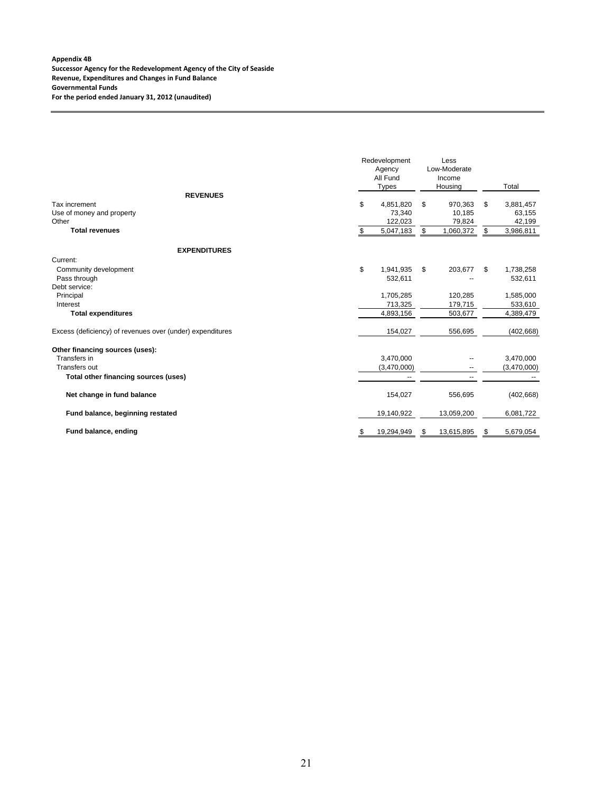#### **Appendix 4B Successor Agency for the Redevelopment Agency of the City of Seaside Revenue, Expenditures and Changes in Fund Balance Governmental Funds For the period ended January 31, 2012 (unaudited)**

|                                                           | Redevelopment<br>Agency<br>All Fund<br><b>Types</b> | Less<br>Low-Moderate<br>Income<br>Housing | Total           |
|-----------------------------------------------------------|-----------------------------------------------------|-------------------------------------------|-----------------|
| <b>REVENUES</b><br>Tax increment                          | \$<br>4,851,820                                     | \$<br>970,363                             | \$<br>3,881,457 |
| Use of money and property                                 | 73.340                                              | 10.185                                    | 63,155          |
| Other                                                     | 122,023                                             | 79,824                                    | 42,199          |
| <b>Total revenues</b>                                     | \$<br>5,047,183                                     | \$<br>1,060,372                           | \$<br>3,986,811 |
| <b>EXPENDITURES</b>                                       |                                                     |                                           |                 |
| Current:                                                  |                                                     |                                           |                 |
| Community development                                     | \$<br>1,941,935                                     | \$<br>203,677                             | \$<br>1,738,258 |
| Pass through                                              | 532,611                                             |                                           | 532,611         |
| Debt service:                                             |                                                     |                                           |                 |
| Principal                                                 | 1,705,285                                           | 120,285                                   | 1,585,000       |
| Interest                                                  | 713,325                                             | 179,715                                   | 533,610         |
| <b>Total expenditures</b>                                 | 4,893,156                                           | 503,677                                   | 4,389,479       |
| Excess (deficiency) of revenues over (under) expenditures | 154,027                                             | 556,695                                   | (402, 668)      |
| Other financing sources (uses):                           |                                                     |                                           |                 |
| Transfers in                                              | 3,470,000                                           |                                           | 3,470,000       |
| <b>Transfers out</b>                                      | (3,470,000)                                         | --                                        | (3,470,000)     |
| Total other financing sources (uses)                      | --                                                  | $\overline{\phantom{a}}$                  |                 |
| Net change in fund balance                                | 154,027                                             | 556,695                                   | (402, 668)      |
| Fund balance, beginning restated                          | 19,140,922                                          | 13,059,200                                | 6,081,722       |
| Fund balance, ending                                      | \$<br>19,294,949                                    | 13,615,895                                | \$<br>5,679,054 |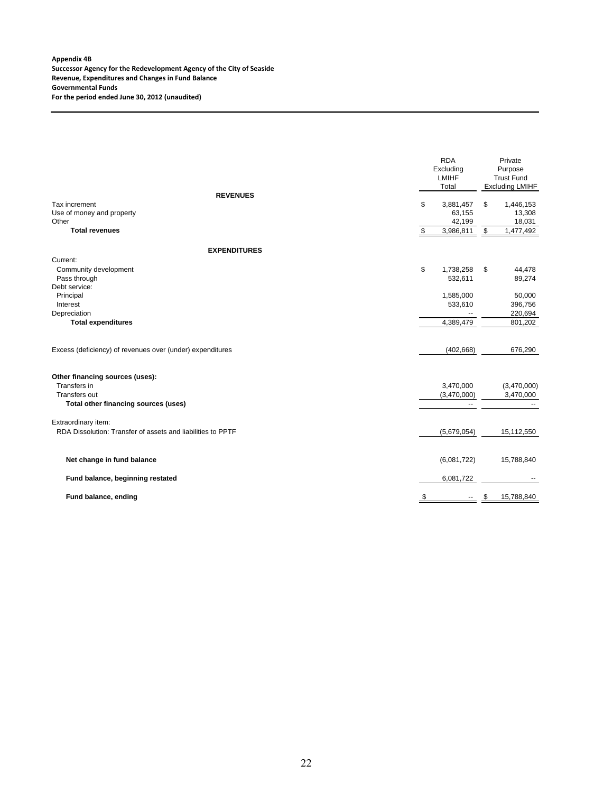#### **Appendix 4B Successor Agency for the Redevelopment Agency of the City of Seaside Revenue, Expenditures and Changes in Fund Balance Governmental Funds For the period ended June 30, 2012 (unaudited)**

|                                                             | <b>RDA</b><br>Excluding<br><b>LMIHF</b><br>Total | Private<br>Purpose<br><b>Trust Fund</b><br><b>Excluding LMIHF</b> |
|-------------------------------------------------------------|--------------------------------------------------|-------------------------------------------------------------------|
| <b>REVENUES</b>                                             |                                                  |                                                                   |
| Tax increment                                               | \$<br>3,881,457                                  | \$<br>1,446,153                                                   |
| Use of money and property                                   | 63,155                                           | 13,308                                                            |
| Other                                                       | 42,199                                           | 18,031                                                            |
| <b>Total revenues</b>                                       | \$<br>3,986,811                                  | \$<br>1,477,492                                                   |
| <b>EXPENDITURES</b>                                         |                                                  |                                                                   |
| Current:                                                    |                                                  |                                                                   |
| Community development                                       | \$<br>1,738,258                                  | \$<br>44,478                                                      |
| Pass through                                                | 532,611                                          | 89,274                                                            |
| Debt service:                                               |                                                  |                                                                   |
| Principal                                                   | 1,585,000                                        | 50,000                                                            |
| Interest                                                    | 533,610                                          | 396,756                                                           |
| Depreciation                                                |                                                  | 220,694                                                           |
| <b>Total expenditures</b>                                   | 4,389,479                                        | 801,202                                                           |
|                                                             |                                                  |                                                                   |
| Excess (deficiency) of revenues over (under) expenditures   | (402, 668)                                       | 676,290                                                           |
| Other financing sources (uses):                             |                                                  |                                                                   |
| Transfers in                                                | 3,470,000                                        | (3,470,000)                                                       |
| <b>Transfers out</b>                                        | (3,470,000)                                      | 3,470,000                                                         |
| Total other financing sources (uses)                        | --                                               |                                                                   |
| Extraordinary item:                                         |                                                  |                                                                   |
| RDA Dissolution: Transfer of assets and liabilities to PPTF | (5,679,054)                                      | 15,112,550                                                        |
|                                                             |                                                  |                                                                   |
| Net change in fund balance                                  | (6,081,722)                                      | 15,788,840                                                        |
| Fund balance, beginning restated                            | 6,081,722                                        |                                                                   |
| Fund balance, ending                                        | \$                                               | \$<br>15,788,840                                                  |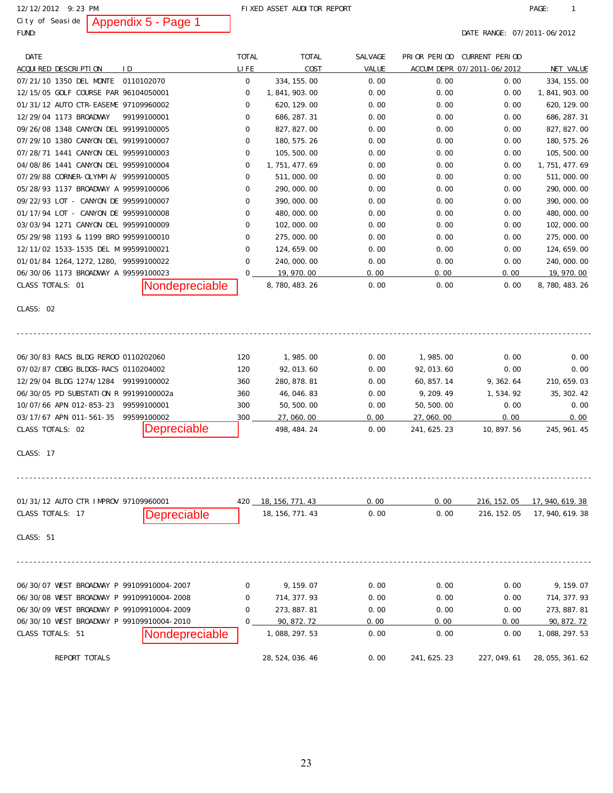City of Seaside | Appendix  $5$  - Page 1

12/12/2012 9:23 PM **PAGE:** 1

FUND: **DATE RANGE: 07/2011-06/2012** 

| DATE                                      |             |                    | <b>TOTAL</b> | <b>TOTAL</b>       | SALVAGE |              | PRIOR PERIOD CURRENT PERIOD |                  |
|-------------------------------------------|-------------|--------------------|--------------|--------------------|---------|--------------|-----------------------------|------------------|
| ACQUIRED DESCRIPTION                      | I D         |                    | LI FE        | COST               | VALUE   |              | ACCUM DEPR 07/2011-06/2012  | NET VALUE        |
| 07/21/10 1350 DEL MONTE 0110102070        |             |                    | 0            | 334, 155.00        | 0.00    | 0.00         | 0.00                        | 334, 155.00      |
| 12/15/05 GOLF COURSE PAR 96104050001      |             |                    | 0            | 1, 841, 903. 00    | 0.00    | 0.00         | 0.00                        | 1, 841, 903. 00  |
| 01/31/12 AUTO CTR-EASEME 97109960002      |             |                    | 0            | 620, 129.00        | 0.00    | 0.00         | 0.00                        | 620, 129.00      |
| 12/29/04 1173 BROADWAY                    |             | 99199100001        | 0            | 686, 287. 31       | 0.00    | 0.00         | 0.00                        | 686, 287. 31     |
| 09/26/08 1348 CANYON DEL 99199100005      |             |                    | 0            | 827, 827.00        | 0.00    | 0.00         | 0.00                        | 827, 827.00      |
| 07/29/10 1380 CANYON DEL 99199100007      |             |                    | 0            | 180, 575. 26       | 0.00    | 0.00         | 0.00                        | 180, 575. 26     |
| 07/28/71 1441 CANYON DEL 99599100003      |             |                    | 0            | 105, 500.00        | 0.00    | 0.00         | 0.00                        | 105, 500. 00     |
| 04/08/86 1441 CANYON DEL 99599100004      |             |                    | 0            | 1, 751, 477. 69    | 0.00    | 0.00         | 0.00                        | 1, 751, 477. 69  |
| 07/29/88 CORNER-OLYMPIA/ 99599100005      |             |                    | 0            | 511,000.00         | 0.00    | 0.00         | 0.00                        | 511, 000. 00     |
| 05/28/93 1137 BROADWAY A 99599100006      |             |                    | 0            | 290, 000. 00       | 0.00    | 0.00         | 0.00                        | 290, 000. 00     |
| 09/22/93 LOT - CANYON DE 99599100007      |             |                    | 0            | 390, 000. 00       | 0.00    | 0.00         | 0.00                        | 390, 000. 00     |
| 01/17/94 LOT - CANYON DE 99599100008      |             |                    | 0            | 480, 000. 00       | 0.00    | 0.00         | 0.00                        | 480, 000. 00     |
| 03/03/94 1271 CANYON DEL 99599100009      |             |                    | 0            | 102, 000. 00       | 0.00    | 0.00         | 0.00                        | 102, 000. 00     |
| 05/29/98 1193 & 1199 BRO 99599100010      |             |                    | 0            | 275, 000.00        | 0.00    | 0.00         | 0.00                        | 275, 000.00      |
| 12/11/02 1533-1535 DEL M 99599100021      |             |                    | 0            | 124, 659. 00       | 0.00    | 0.00         | 0.00                        | 124, 659. 00     |
| 01/01/84 1264, 1272, 1280, 99599100022    |             |                    | 0            | 240, 000. 00       | 0.00    | 0.00         | 0.00                        | 240, 000. 00     |
| 06/30/06 1173 BROADWAY A 99599100023      |             |                    | 0            | 19, 970.00         | 0.00    | 0.00         | 0.00                        | 19, 970. 00      |
| CLASS TOTALS: 01                          |             | Nondepreciable     |              | 8, 780, 483. 26    | 0.00    | 0.00         | 0.00                        | 8, 780, 483. 26  |
| CLASS: 02                                 |             |                    |              |                    |         |              |                             |                  |
| 06/30/83 RACS BLDG REROO 0110202060       |             |                    | 120          | 1,985.00           | 0.00    | 1,985.00     | 0.00                        | 0.00             |
| 07/02/87 CDBG BLDGS-RACS 0110204002       |             |                    | 120          | 92, 013.60         | 0.00    | 92, 013. 60  | 0.00                        | 0.00             |
| 12/29/04 BLDG 1274/1284 99199100002       |             |                    | 360          | 280, 878. 81       | 0.00    | 60, 857. 14  | 9, 362. 64                  | 210, 659. 03     |
| 06/30/05 PD SUBSTATION R 99199100002a     |             |                    | 360          | 46, 046. 83        | 0.00    | 9, 209. 49   | 1,534.92                    | 35, 302. 42      |
| 10/07/66 APN 012-853-23                   | 99599100001 |                    | 300          | 50, 500.00         | 0.00    | 50, 500. 00  | 0.00                        | 0.00             |
| 03/17/67 APN 011-561-35                   |             | 99599100002        | 300          | 27,060.00          | 0.00    | 27,060.00    | 0.00                        | 0.00             |
| CLASS TOTALS: 02                          |             | <b>Depreciable</b> |              | 498, 484. 24       | 0.00    | 241, 625. 23 | 10, 897. 56                 | 245, 961. 45     |
| CLASS: 17                                 |             |                    |              |                    |         |              |                             |                  |
| 01/31/12 AUTO CTR IMPROV 97109960001      |             |                    | 420          | $-18, 156, 771.43$ | 0.00    | 0.00         | 216, 152. 05                | 17, 940, 619. 38 |
| CLASS TOTALS: 17                          |             | Depreciable        |              | 18, 156, 771. 43   | 0.00    | 0.00         | 216, 152. 05                | 17, 940, 619. 38 |
|                                           |             |                    |              |                    |         |              |                             |                  |
| CLASS: 51                                 |             |                    |              |                    |         |              |                             |                  |
| 06/30/07 WEST BROADWAY P 99109910004-2007 |             |                    | 0            | 9, 159. 07         | 0.00    | 0.00         | 0.00                        | 9, 159. 07       |
| 06/30/08 WEST BROADWAY P 99109910004-2008 |             |                    | 0            | 714, 377. 93       | 0.00    | 0.00         | 0.00                        | 714, 377. 93     |
| 06/30/09 WEST BROADWAY P 99109910004-2009 |             |                    | 0            | 273, 887. 81       | 0.00    | 0.00         | 0.00                        | 273, 887. 81     |
| 06/30/10 WEST BROADWAY P 99109910004-2010 |             |                    | 0            | 90, 872. 72        | 0.00    | 0.00         | 0.00                        | 90, 872. 72      |
| CLASS TOTALS: 51                          |             | Nondepreciable     |              | 1, 088, 297. 53    | 0.00    | 0.00         | 0.00                        | 1, 088, 297. 53  |
| REPORT TOTALS                             |             |                    |              | 28, 524, 036. 46   | 0.00    | 241, 625. 23 | 227, 049.61                 | 28, 055, 361. 62 |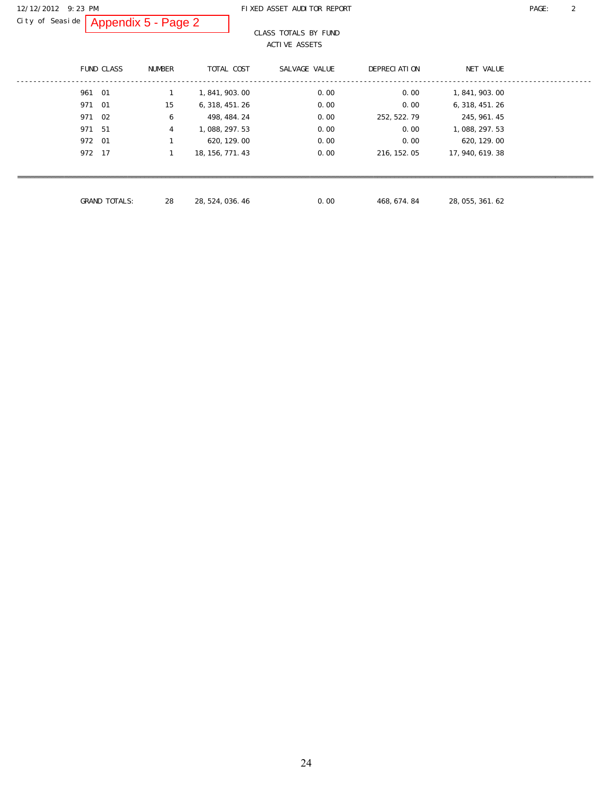#### 12/12/2012 9:23 PM FIXED ASSET AUDITOR REPORT PAGE: 2

City of Seaside | Appendix  $5$  - Page 2

#### CLASS TOTALS BY FUND ACTIVE ASSETS

|        | <b>FUND CLASS</b>    | <b>NUMBER</b> | TOTAL COST       | SALVAGE VALUE | DEPRECIATION | NET VALUE        |
|--------|----------------------|---------------|------------------|---------------|--------------|------------------|
| 961 01 |                      | 1             | 1, 841, 903, 00  | 0.00          | 0.00         | 1, 841, 903, 00  |
| 971 01 |                      | 15            | 6, 318, 451, 26  | 0.00          | 0.00         | 6, 318, 451. 26  |
| 971 02 |                      | 6             | 498, 484. 24     | 0.00          | 252, 522. 79 | 245, 961. 45     |
| 971    | - 51                 | 4             | 1, 088, 297. 53  | 0.00          | 0.00         | 1, 088, 297. 53  |
| 972 01 |                      |               | 620, 129. 00     | 0.00          | 0.00         | 620, 129.00      |
| 972 17 |                      |               | 18, 156, 771. 43 | 0.00          | 216, 152. 05 | 17, 940, 619. 38 |
|        |                      |               |                  |               |              |                  |
|        |                      |               |                  |               |              |                  |
|        | <b>GRAND TOTALS:</b> | 28            | 28, 524, 036, 46 | 0.00          | 468, 674. 84 | 28, 055, 361. 62 |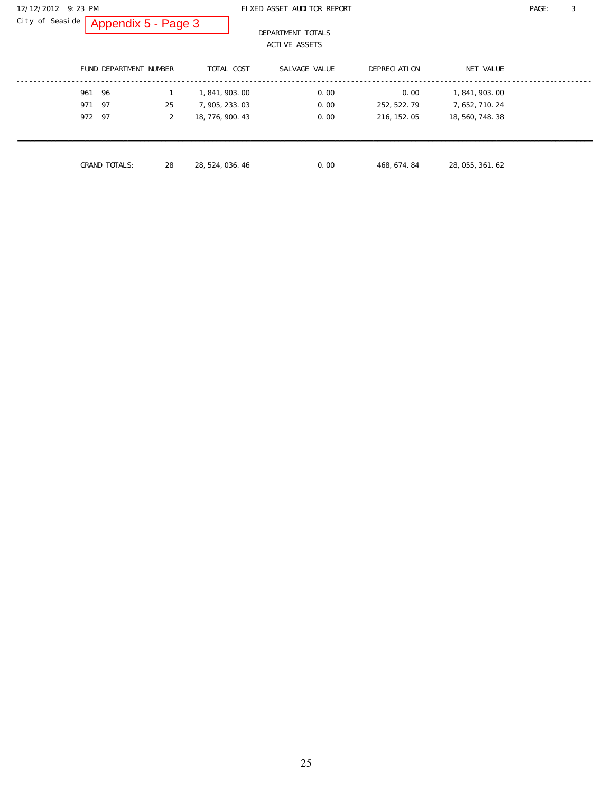City of Seaside | Appendix  $5$  - Page 3

#### 12/12/2012 9:23 PM FIXED ASSET AUDITOR REPORT PAGE: 3

 DEPARTMENT TOTALS ACTIVE ASSETS

|        | FUND DEPARTMENT NUMBER |    | TOTAL COST       | SALVAGE VALUE |      | DEPRECIATION |                  | NET VALUE       |
|--------|------------------------|----|------------------|---------------|------|--------------|------------------|-----------------|
| 961    | - 96                   |    | 1, 841, 903, 00  |               | 0.00 | 0.00         |                  | 1, 841, 903, 00 |
| 971    | - 97                   | 25 | 7, 905, 233, 03  |               | 0.00 | 252, 522. 79 |                  | 7, 652, 710. 24 |
| 972 97 |                        | 2  | 18, 776, 900. 43 |               | 0.00 | 216, 152. 05 | 18, 560, 748. 38 |                 |
|        |                        |    |                  |               |      |              |                  |                 |
|        |                        |    |                  |               |      |              |                  |                 |
|        | <b>GRAND TOTALS:</b>   | 28 | 28, 524, 036, 46 |               | 0.00 | 468, 674. 84 | 28, 055, 361. 62 |                 |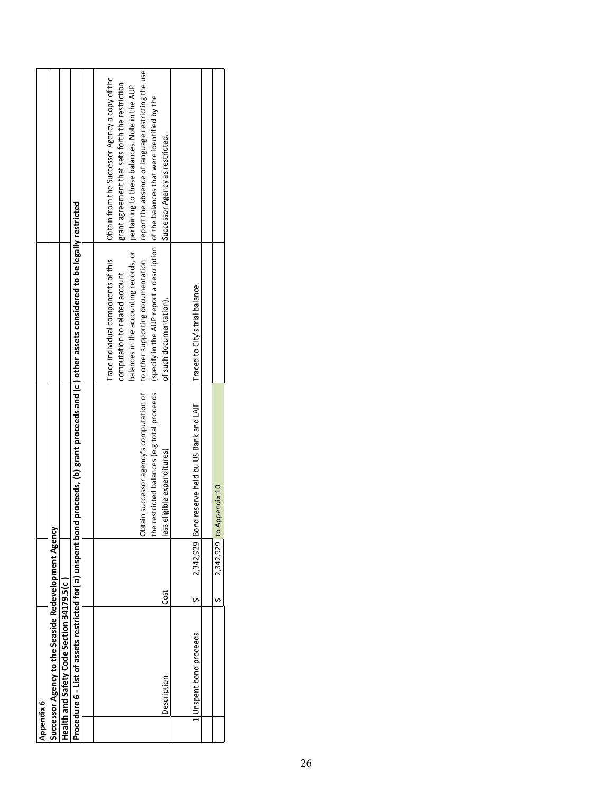| Appendix 6 |                                                             |      |                |                                                                             |                                                                                        |                                                                                        |
|------------|-------------------------------------------------------------|------|----------------|-----------------------------------------------------------------------------|----------------------------------------------------------------------------------------|----------------------------------------------------------------------------------------|
|            | Successor Agency to the Seaside Redevelopment Agency        |      |                |                                                                             |                                                                                        |                                                                                        |
|            | Health and Safety Code Section 34179.5(c                    |      |                |                                                                             |                                                                                        |                                                                                        |
|            | Procedure 6 - List of assets restricted for(a) unspent bond |      |                |                                                                             | proceeds, (b) grant proceeds and (c ) other assets considered to be legally restricted |                                                                                        |
|            |                                                             |      |                |                                                                             |                                                                                        |                                                                                        |
|            |                                                             |      |                |                                                                             | Trace individual components of this                                                    | Obtain from the Successor Agency a copy of the                                         |
|            |                                                             |      |                |                                                                             | computation to related account                                                         | grant agreement that sets forth the restriction                                        |
|            |                                                             |      |                |                                                                             |                                                                                        | balances in the accounting records, or   pertaining to these balances. Note in the AUP |
|            |                                                             |      |                | Obtain successor agency's computation of lto other supporting documentation |                                                                                        | report the absence of language restricting the use                                     |
|            |                                                             |      |                | the restricted balances (e.g total proceeds                                 |                                                                                        | (specify in the AUP report a description  of the balances that were identified by the  |
|            | Description                                                 | Cost |                | less eligible expenditures)                                                 | of such documentation).                                                                | Successor Agency as restricted.                                                        |
|            |                                                             |      |                |                                                                             |                                                                                        |                                                                                        |
|            | 1 Unspent bond proceeds                                     |      | 2,342,929 Bond | reserve held bu US Bank and LAIF                                            | Traced to City's trial balance.                                                        |                                                                                        |
|            |                                                             |      |                |                                                                             |                                                                                        |                                                                                        |
|            |                                                             |      |                | 2,342,929 to Appendix 10                                                    |                                                                                        |                                                                                        |
|            |                                                             |      |                |                                                                             |                                                                                        |                                                                                        |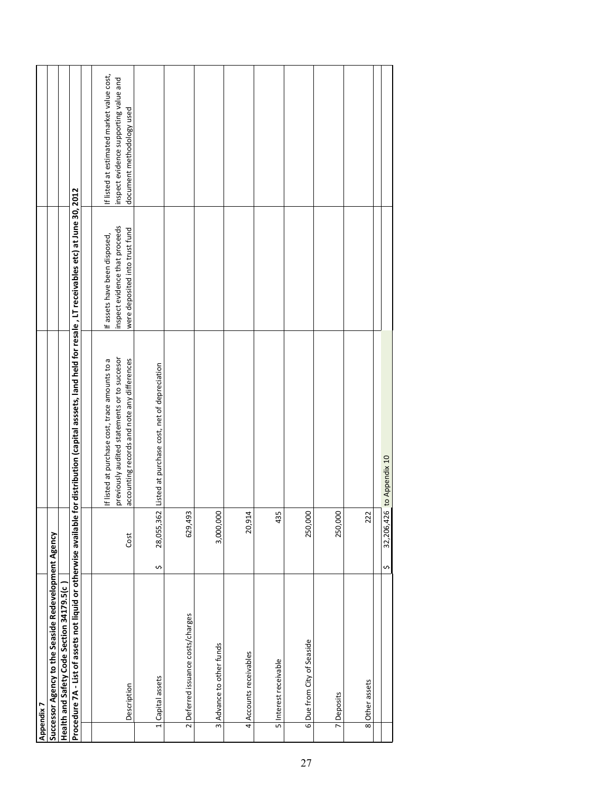| Appendix 7                                           |                      |                                                                                                                                                                |                                                                  |                                                                    |
|------------------------------------------------------|----------------------|----------------------------------------------------------------------------------------------------------------------------------------------------------------|------------------------------------------------------------------|--------------------------------------------------------------------|
| Successor Agency to the Seaside Redevelopment Agency |                      |                                                                                                                                                                |                                                                  |                                                                    |
| Health and Safety Code Section 34179.5(c             |                      |                                                                                                                                                                |                                                                  |                                                                    |
|                                                      |                      | Procedure 7A - List of assets not liquid or otherwise available for distribution (capital asssets, land held for resale , LT receivables etc) at June 30, 2012 |                                                                  |                                                                    |
|                                                      |                      |                                                                                                                                                                |                                                                  |                                                                    |
|                                                      |                      | If listed at purchase cost, trace amounts to a                                                                                                                 | If assets have been disposed,                                    | If listed at estimated market value cost,                          |
| Description                                          | Cost                 | previously audited statements or to succesor<br>accounting records and note any differences                                                                    | inspect evidence that proceeds<br>were deposited into trust fund | inspect evidence supporting value and<br>document methodology used |
| 1 Capital assets                                     | S                    | 28,055,362 Listed at purchase cost, net of depreciation                                                                                                        |                                                                  |                                                                    |
| 2 Deferred issuance costs/charges                    | w<br>629,49          |                                                                                                                                                                |                                                                  |                                                                    |
| 3 Advance to other funds                             | 3,000,000            |                                                                                                                                                                |                                                                  |                                                                    |
| 4 Accounts receivables                               | 4<br>20,91           |                                                                                                                                                                |                                                                  |                                                                    |
| 5 Interest receivable                                | 'n,<br>$\frac{3}{4}$ |                                                                                                                                                                |                                                                  |                                                                    |
| 6 Due from City of Seaside                           | 250,000              |                                                                                                                                                                |                                                                  |                                                                    |
| 7 Deposits                                           | 250,000              |                                                                                                                                                                |                                                                  |                                                                    |
| 8 Other assets                                       | 222                  |                                                                                                                                                                |                                                                  |                                                                    |
|                                                      | s,                   | 32,206,426 to Appendix 10                                                                                                                                      |                                                                  |                                                                    |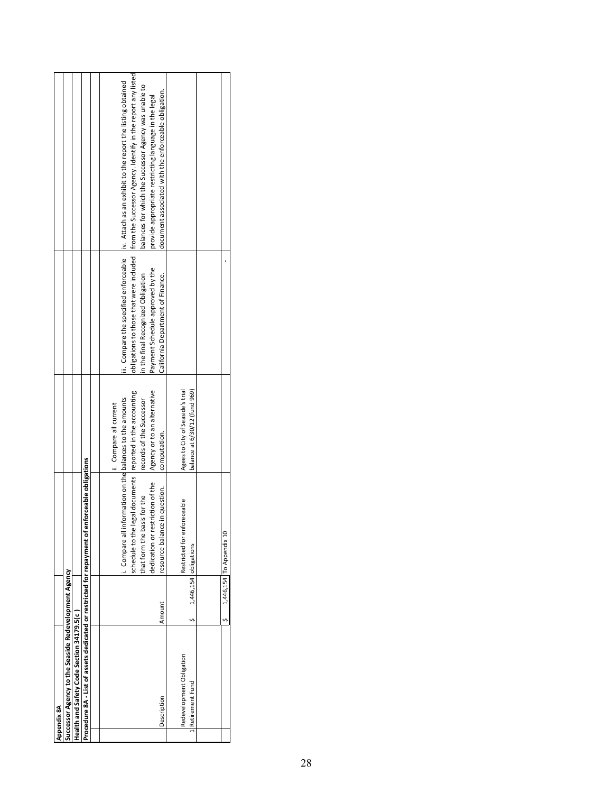| Appendix 8A                                                                                    |        |                                                            |                                          |                                    |                                                                                                      |
|------------------------------------------------------------------------------------------------|--------|------------------------------------------------------------|------------------------------------------|------------------------------------|------------------------------------------------------------------------------------------------------|
| Successor Agency to the Seaside Redevelopment Agency                                           |        |                                                            |                                          |                                    |                                                                                                      |
| Health and Safety Code Section 34179.5(c)                                                      |        |                                                            |                                          |                                    |                                                                                                      |
| Procedure 8A - List of assets dedicated or restricted for repayment of enforceable obligations |        |                                                            |                                          |                                    |                                                                                                      |
|                                                                                                |        |                                                            |                                          |                                    |                                                                                                      |
|                                                                                                |        |                                                            | ii. Compare all current                  |                                    |                                                                                                      |
|                                                                                                |        | . Compare all inf                                          | formation on the balances to the amounts |                                    | iii. Compare the specified enforceable liv. Attach as an exhibit to the report the listing obtained  |
|                                                                                                |        | schedule to the legal documents reported in the accounting |                                          |                                    | obligations to those that were included from the Successor Agency. Identify in the report any listed |
|                                                                                                |        | that form the basis for the                                | records of the Successor                 | in the final Recognized Obligation | balances for which the Successor Agency was unable to                                                |
|                                                                                                |        | dedication or restriction of the                           | Agency or to an alternative              | Payment Schedule approved by the   | provide appropriate restricting language in the legal                                                |
| Description                                                                                    | Amount | in question.<br>resource balance                           | computation.                             | California Department of Finance.  | document associated with the enforceable obligation.                                                 |
|                                                                                                |        |                                                            |                                          |                                    |                                                                                                      |
| Redevelopment Obligation                                                                       |        | receable<br>Restricted for enfor                           | Agees to City of Seaside's trial         |                                    |                                                                                                      |
| Retirement Fund                                                                                |        | 1,446,154 obligations                                      | balance at 6/30/12 (fund 969)            |                                    |                                                                                                      |
|                                                                                                |        |                                                            |                                          |                                    |                                                                                                      |
|                                                                                                |        | 1,446,154 To Appendix 10                                   |                                          |                                    |                                                                                                      |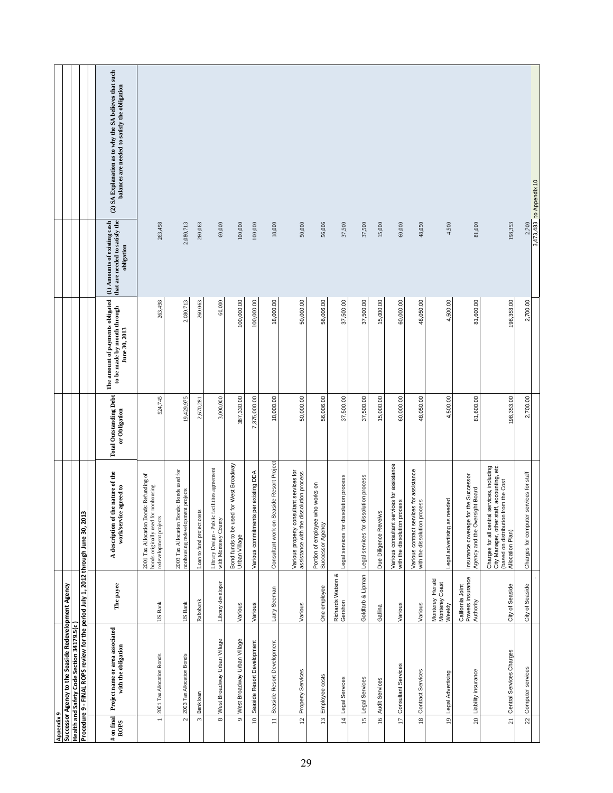|            |                                                      |                                           |                                                                                  | (2) SA Explanation as to why the SA believes that such<br>balances are needed to satisfy the obligation |                                                                                                           |                                                                                |                            |                                                                       |                                                          |                                      |                                           |                                                                                     |                                                         |                                        |                                        |                       |                                                                            |                                                                          |                                             |                                                                        |                                                                                                                                                        | 3,473,483 to Appendix 10                |  |
|------------|------------------------------------------------------|-------------------------------------------|----------------------------------------------------------------------------------|---------------------------------------------------------------------------------------------------------|-----------------------------------------------------------------------------------------------------------|--------------------------------------------------------------------------------|----------------------------|-----------------------------------------------------------------------|----------------------------------------------------------|--------------------------------------|-------------------------------------------|-------------------------------------------------------------------------------------|---------------------------------------------------------|----------------------------------------|----------------------------------------|-----------------------|----------------------------------------------------------------------------|--------------------------------------------------------------------------|---------------------------------------------|------------------------------------------------------------------------|--------------------------------------------------------------------------------------------------------------------------------------------------------|-----------------------------------------|--|
|            |                                                      |                                           |                                                                                  | that are needed to satisfy the<br>(1) Amounts of existing cash<br>obligation                            | 263,498                                                                                                   | 2,080,713                                                                      | 260,063                    | 60,000                                                                | 100,000                                                  | 100,000                              | 18,000                                    | 50,000                                                                              | 56,006                                                  | 37,500                                 | 37,500                                 | 15,000                | 60,000                                                                     | 48,050                                                                   | 4,500                                       | 81,600                                                                 | 198,353                                                                                                                                                | 2,700                                   |  |
|            |                                                      |                                           |                                                                                  | The amount of payments obligated<br>to be made by month through<br>June 30, 2013                        | 263,498                                                                                                   | 2,080,713                                                                      | 260,063                    | 60,000                                                                | 100,000.00                                               | 100,000.00                           | 18,000.00                                 | 50,000.00                                                                           | 56,006.00                                               | 37,500.00                              | 37,500.00                              | 15,000.00             | 60,000.00                                                                  | 48,050.00                                                                | 4,500.00                                    | 81,600.00                                                              | 198,353.00                                                                                                                                             | 2,700.00                                |  |
|            |                                                      |                                           |                                                                                  | <b>Total Outstanding Debt</b><br>or Obligation                                                          | 524,745                                                                                                   | 19,429,975                                                                     | 2,670,28                   | 3,000,000                                                             | 387,330.00                                               | 7,375,000.00                         | 18,000.00                                 | 50,000.00                                                                           | 56,006.00                                               | 37,500.00                              | 37,500.00                              | 15,000.00             | 60,000.00                                                                  | 48,050.00                                                                | 4,500.00                                    | 81,600.00                                                              | 198,353.00                                                                                                                                             | 2,700.00                                |  |
|            |                                                      |                                           | w                                                                                | A description of the nature of the<br>work/service agreed to                                            | 2001 Tax Allocation Bonds: Refunding of<br>bonds originally used for nonhousing<br>redevelopment projects | 2003 Tax Allocation Bonds: Bonds used for<br>nonhousing redevelopment projects | Loan to fund project costs | Library Design - Public facilitites agreement<br>with Monterey County | Bond funds to be used for West Broadway<br>Urban Village | Various commitments per existing DDA | Consultant work on Seaside Resort Project | Various property consultant services for<br>assistance with the dissolution process | who works on<br>Portion of employee<br>Successor Agency | Legal services for dissolution process | Legal services for dissolution process | Due Diligence Reveiws | Various consultant services for assistance<br>with the dissolution process | Various contract services for assistance<br>with the dissolution process | needed<br>Legal advertising as              | Insurance coverage for the Successor<br>Agency and the Oversight Board | Charges for all central services, including<br>City Manager, other staff, accounting, etc.<br>(based on distribution from the Cost<br>Allocation Plan) | Charges for computer services for staff |  |
|            |                                                      |                                           |                                                                                  | The payee                                                                                               | US Bank                                                                                                   | US Bank                                                                        | Rabobank                   | Library developer                                                     | Various                                                  | Various                              | Larry Seeman                              | Various                                                                             | One employee                                            | Richards Watson &<br>Gershon           | Goldfarb & Lipman                      | Gallina               | Various                                                                    | Various                                                                  | Monterey Herald<br>Monterey Coast<br>Weekly | Powers Insurance<br>Authority<br>California Joint                      | City of Seaside                                                                                                                                        | City of Seaside                         |  |
|            | Successor Agency to the Seaside Redevelopment Agency | Health and Safety Code Section 34179.5(c) | Procedure 9 - FINAL ROPS review for the period July 1, 2012 through June 30, 201 | Project name or area associated<br>with the obligation                                                  | 2001 Tax Allocation Bonds                                                                                 | 2003 Tax Allocation Bonds                                                      | Bank loan                  | West Broadway Urban Village                                           | West Broadway Urban Village                              | Seaside Resort Development           | Seaside Resort Development                | Property Services                                                                   | Employee costs                                          | Legal Services                         | 15 Legal Services                      | 16 Audit Services     | Consultant Services                                                        | Contract Services                                                        | 19 Legal Advertising                        | Liability insurance                                                    | Central Services Charges                                                                                                                               | Computer services                       |  |
| Appendix 9 |                                                      |                                           |                                                                                  | $\#$ on final<br>ROPS                                                                                   | $\overline{a}$                                                                                            | $\mathbf{c}$                                                                   | $\tilde{\phantom{a}}$      | $\infty$                                                              | $\circ$                                                  | $\supseteq$                          | $\equiv$                                  | 12 <sub>1</sub>                                                                     | 13                                                      | $\overline{14}$                        |                                        |                       | $\overline{17}$                                                            | $18\,$                                                                   |                                             | $\overline{c}$                                                         | $\overline{21}$                                                                                                                                        | 22                                      |  |